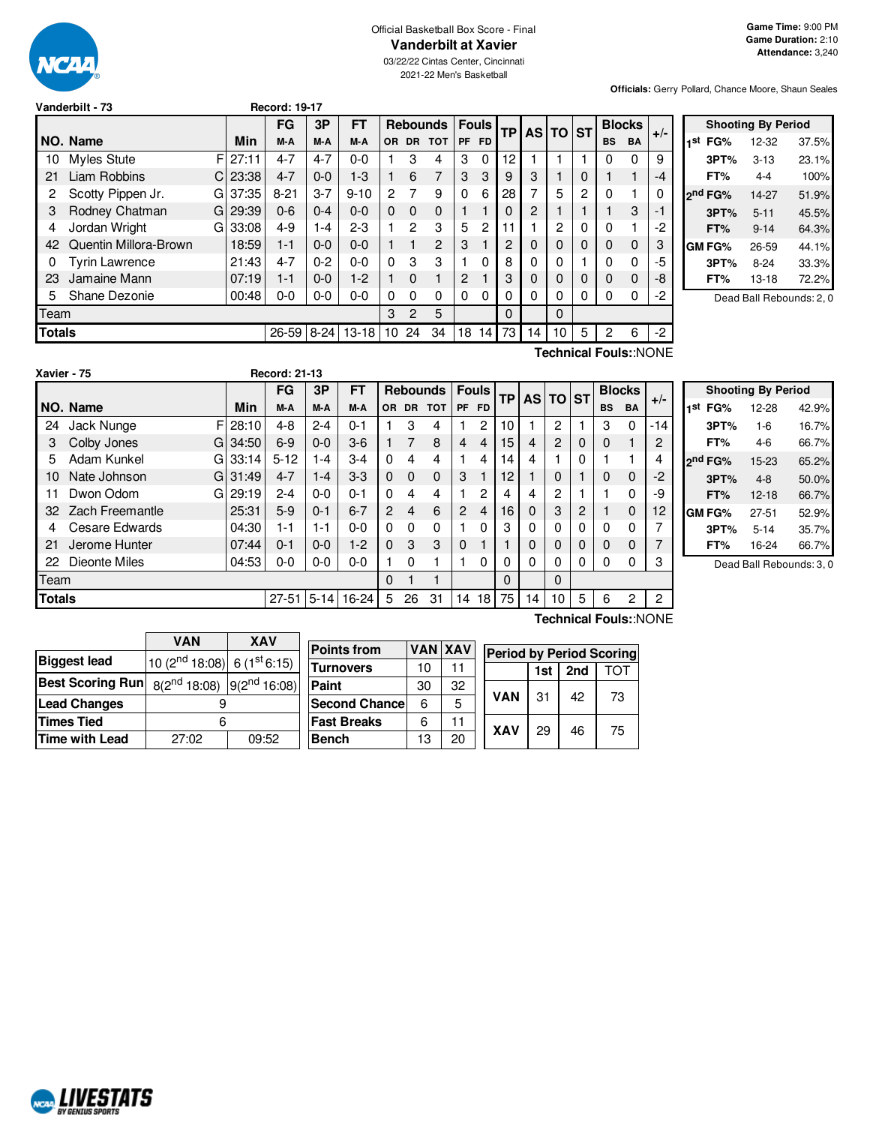

#### Official Basketball Box Score - Final **Vanderbilt at Xavier**

03/22/22 Cintas Center, Cincinnati 2021-22 Men's Basketball

**Officials:** Gerry Pollard, Chance Moore, Shaun Seales

|                                                          |                       |    |       | FG       | 3P      | FT       |     | Rebounds   Fouls |          |           |           | <b>TP</b> |    | <b>AS TO</b> | <b>IST</b> | <b>Blocks</b> |              | $+/-$ |
|----------------------------------------------------------|-----------------------|----|-------|----------|---------|----------|-----|------------------|----------|-----------|-----------|-----------|----|--------------|------------|---------------|--------------|-------|
|                                                          | NO. Name              |    | Min   | M-A      | M-A     | M-A      | OR. |                  | DR TOT   | <b>PF</b> | <b>FD</b> |           |    |              |            | <b>BS</b>     | <b>BA</b>    |       |
| 10                                                       | Myles Stute           | F  | 27:11 | $4 - 7$  | $4 - 7$ | 0-0      |     | 3                | 4        | 3         | 0         | 12        |    |              |            | 0             | $\Omega$     | 9     |
| 21                                                       | Liam Robbins          | C. | 23:38 | $4 - 7$  | $0 - 0$ | $1-3$    |     | 6                | 7        | 3         | 3         | 9         | 3  |              | 0          |               | 1            | -4    |
| 2                                                        | Scotty Pippen Jr.     | GI | 37:35 | $8 - 21$ | $3 - 7$ | $9 - 10$ | 2   | 7                | 9        | $\Omega$  | 6         | 28        | 7  | 5            | 2          | 0             | 1            |       |
| 3                                                        | Rodney Chatman        | G  | 29:39 | $0 - 6$  | $0 - 4$ | $0 - 0$  | 0   | $\Omega$         | 0        |           |           | $\Omega$  | 2  |              |            |               | 3            | $-1$  |
| 4                                                        | Jordan Wright         | G  | 33:08 | $4 - 9$  | 1-4     | $2-3$    |     | $\mathcal{P}$    | 3        | 5         | 2         | 11        |    | 2            | 0          | 0             |              | $-2$  |
| 42                                                       | Quentin Millora-Brown |    | 18:59 | $1 - 1$  | $0 - 0$ | $0 - 0$  |     | 1                | 2        | 3         |           | 2         | 0  | 0            | 0          | 0             | 0            | 3     |
| 0                                                        | <b>Tyrin Lawrence</b> |    | 21:43 | $4 - 7$  | $0 - 2$ | $0 - 0$  | 0   | 3                | 3        |           | 0         | 8         | 0  | 0            |            | 0             | 0            | -5    |
| 23                                                       | Jamaine Mann          |    | 07:19 | $1 - 1$  | $0 - 0$ | $1-2$    |     | $\Omega$         |          | 2         |           | 3         | 0  | $\Omega$     | 0          | 0             | $\mathbf{0}$ | -8    |
| Shane Dezonie<br>00:48<br>$0 - 0$<br>$0-0$<br>$0-0$<br>5 |                       |    |       |          |         | 0        | 0   | 0                | $\Omega$ | 0         | 0         | 0         | 0  | 0            | 0          | 0             | -2           |       |
| Team                                                     |                       |    |       |          |         |          |     | 2                | 5        |           |           | $\Omega$  |    | 0            |            |               |              |       |
| 8-24 13-18<br>Totals<br>26-59                            |                       |    |       |          |         |          | 10  | 24               | 34       | 18        | 14        | 73        | 14 | 10           | 5          | 2             | 6            | $-2$  |
|                                                          | Technical Fouls::NONE |    |       |          |         |          |     |                  |          |           |           |           |    |              |            |               |              |       |

**Vanderbilt - 73 Record: 19-17**

| <b>Shooting By Period</b> |                     |          |       |  |  |  |  |  |  |  |  |  |  |
|---------------------------|---------------------|----------|-------|--|--|--|--|--|--|--|--|--|--|
| 1st                       | FG%                 | 12-32    | 37.5% |  |  |  |  |  |  |  |  |  |  |
|                           | 3PT%                | $3 - 13$ | 23.1% |  |  |  |  |  |  |  |  |  |  |
|                           | FT%                 | $4 - 4$  | 100%  |  |  |  |  |  |  |  |  |  |  |
|                           | 2 <sup>nd</sup> FG% | 14-27    | 51.9% |  |  |  |  |  |  |  |  |  |  |
|                           | 3PT%                | $5 - 11$ | 45.5% |  |  |  |  |  |  |  |  |  |  |
|                           | FT%                 | $9 - 14$ | 64.3% |  |  |  |  |  |  |  |  |  |  |
|                           | <b>GM FG%</b>       | 26-59    | 44.1% |  |  |  |  |  |  |  |  |  |  |
|                           | 3PT%                | $8-24$   | 33.3% |  |  |  |  |  |  |  |  |  |  |
|                           | FT%                 | 13-18    | 72.2% |  |  |  |  |  |  |  |  |  |  |
|                           |                     |          |       |  |  |  |  |  |  |  |  |  |  |

Dead Ball Rebounds: 2, 0

| Xavier - 75   |                        |             | <b>Record: 21-13</b> |         |         |                |                |                 |                |                |           |          |          |          |                |             |       |
|---------------|------------------------|-------------|----------------------|---------|---------|----------------|----------------|-----------------|----------------|----------------|-----------|----------|----------|----------|----------------|-------------|-------|
|               |                        |             | <b>FG</b>            | 3P      | FT      |                |                | <b>Rebounds</b> |                | <b>Fouls</b>   | <b>TP</b> |          | AS TO ST |          | <b>Blocks</b>  |             | $+/-$ |
|               | NO. Name               | Min         | M-A                  | M-A     | M-A     | OR.            | <b>DR</b>      | <b>TOT</b>      | <b>PF</b>      | <b>FD</b>      |           |          |          |          | <b>BS</b>      | <b>BA</b>   |       |
| 24            | Jack Nunge             | FI<br>28:10 | 4-8                  | $2 - 4$ | $0 - 1$ |                | 3              | 4               |                | 2              | 10        |          | 2        |          | 3              | 0           | $-14$ |
| 3             | Colby Jones<br>G       | 34:50       | $6-9$                | $0 - 0$ | $3-6$   |                | 7              | 8               | $\overline{4}$ | $\overline{4}$ | 15        | 4        | 2        | 0        | 0              | 1           | 2     |
| 5             | Adam Kunkel<br>G       | 33:14       | $5 - 12$             | 1-4     | $3-4$   | $\Omega$       | 4              | 4               |                | 4              | 14        | 4        |          | $\Omega$ |                |             |       |
| 10            | Nate Johnson<br>G      | 31:49       | $4 - 7$              | $1 - 4$ | $3-3$   | $\Omega$       | $\Omega$       | $\Omega$        | 3              |                | 12        |          | 0        |          | 0              | $\mathbf 0$ | $-2$  |
| 11            | Dwon Odom<br>G         | 29:19       | 2-4                  | $0 - 0$ | $0 - 1$ | $\Omega$       | 4              | 4               |                | 2              | 4         | 4        | 2        |          |                | 0           | -9    |
| 32            | <b>Zach Freemantle</b> | 25:31       | $5-9$                | $0 - 1$ | $6 - 7$ | $\overline{2}$ | $\overline{4}$ | 6               | 2              | 4              | 16        | $\Omega$ | 3        | 2        |                | $\mathbf 0$ | 12    |
| 4             | Cesare Edwards         | 04:30       | 1-1                  | 1-1     | $0-0$   | 0              | $\Omega$       | $\Omega$        |                | 0              | 3         | 0        | 0        | 0        | 0              | 0           |       |
| 21            | Jerome Hunter          | 07:44       | $0 - 1$              | $0 - 0$ | $1 - 2$ | $\Omega$       | 3              | 3               | $\mathbf 0$    |                |           | 0        | $\Omega$ | 0        | 0              | 0           |       |
| 22            | Dieonte Miles          | 04:53       | $0-0$                | $0-0$   | $0 - 0$ |                | $\Omega$       |                 |                | 0              | 0         | $\Omega$ | 0        | 0        | 0              | 0           | 3     |
| Team          |                        |             |                      |         | 0       |                | 1              |                 |                | 0              |           | $\Omega$ |          |          |                |             |       |
| <b>Totals</b> |                        | $27 - 51$   | $5 - 14$             | 16-24   | 5       | 26             | 31             | 14              | 18             | 75             | 14        | 10       | 5        | 6        | $\overline{2}$ | 2           |       |

|     |                     | <b>Shooting By Period</b> |       |
|-----|---------------------|---------------------------|-------|
| 1st | FG%                 | 12-28                     | 42.9% |
|     | 3PT%                | $1 - 6$                   | 16.7% |
|     | FT%                 | 4-6                       | 66.7% |
|     | 2 <sup>nd</sup> FG% | 15-23                     | 65.2% |
|     | 3PT%                | $4 - 8$                   | 50.0% |
|     | FT%                 | 12-18                     | 66.7% |
|     | GM FG%              | 27-51                     | 52.9% |
|     | 3PT%                | $5 - 14$                  | 35.7% |
|     | FT%                 | 16-24                     | 66.7% |

Dead Ball Rebounds: 3, 0

**Technical Fouls:**:NONE

|                                 | VAN   | <b>XAV</b>                                                              |                       |                |    |            |                                 |     |    |  |  |  |
|---------------------------------|-------|-------------------------------------------------------------------------|-----------------------|----------------|----|------------|---------------------------------|-----|----|--|--|--|
|                                 |       |                                                                         | <b>Points from</b>    | <b>VAN XAV</b> |    |            | <b>Period by Period Scoring</b> |     |    |  |  |  |
| <b>Biggest lead</b>             |       |                                                                         |                       |                |    |            |                                 |     |    |  |  |  |
| $(10 (2nd 18:08) 6 (1st 6:15))$ |       | <b>Turnovers</b>                                                        | 10                    | 11             |    | 1st        | 2nd                             | тот |    |  |  |  |
|                                 |       | Best Scoring Run  $8(2^{nd} 18:08)$ $ 9(2^{nd} 16:08) $<br><b>Paint</b> |                       | 30             | 32 |            |                                 |     |    |  |  |  |
| <b>Lead Changes</b>             |       |                                                                         | <b>Second Chancel</b> | 6              | 5  | <b>VAN</b> | 31                              | 42  | 73 |  |  |  |
| <b>Times Tied</b>               | 6     |                                                                         | <b>Fast Breaks</b>    | 6              | 11 | <b>XAV</b> | 29                              | 46  | 75 |  |  |  |
| <b>Time with Lead</b>           | 27:02 | 09:52<br><b>Bench</b>                                                   |                       | 13             | 20 |            |                                 |     |    |  |  |  |

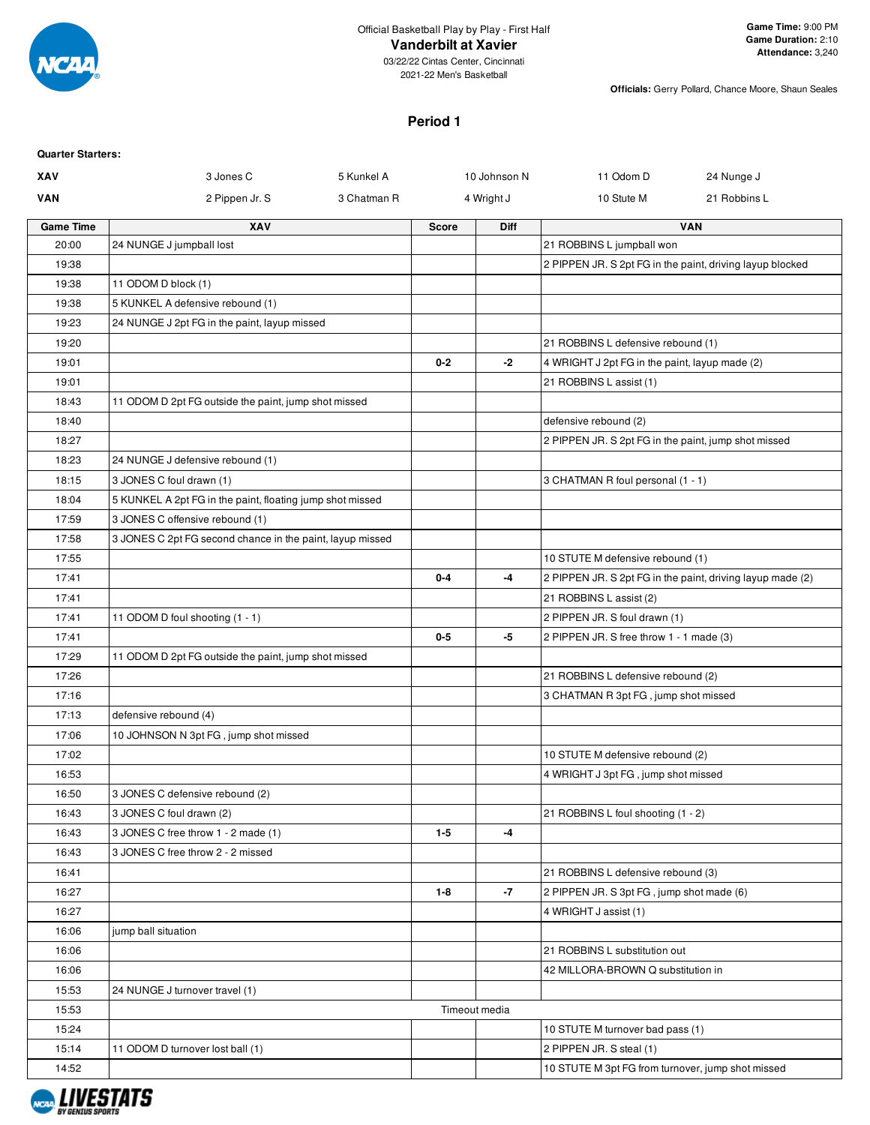

**Officials:** Gerry Pollard, Chance Moore, Shaun Seales

# **Period 1**

| <b>Quarter Starters:</b> |                                                           |             |              |               |                                                            |              |
|--------------------------|-----------------------------------------------------------|-------------|--------------|---------------|------------------------------------------------------------|--------------|
| XAV                      | 3 Jones C                                                 | 5 Kunkel A  |              | 10 Johnson N  | 11 Odom D                                                  | 24 Nunge J   |
| <b>VAN</b>               | 2 Pippen Jr. S                                            | 3 Chatman R |              | 4 Wright J    | 10 Stute M                                                 | 21 Robbins L |
| <b>Game Time</b>         | XAV                                                       |             | <b>Score</b> | Diff          |                                                            | <b>VAN</b>   |
| 20:00                    | 24 NUNGE J jumpball lost                                  |             |              |               | 21 ROBBINS L jumpball won                                  |              |
| 19:38                    |                                                           |             |              |               | 2 PIPPEN JR. S 2pt FG in the paint, driving layup blocked  |              |
| 19:38                    | 11 ODOM D block (1)                                       |             |              |               |                                                            |              |
| 19:38                    | 5 KUNKEL A defensive rebound (1)                          |             |              |               |                                                            |              |
| 19:23                    | 24 NUNGE J 2pt FG in the paint, layup missed              |             |              |               |                                                            |              |
| 19:20                    |                                                           |             |              |               | 21 ROBBINS L defensive rebound (1)                         |              |
| 19:01                    |                                                           |             | $0 - 2$      | $-2$          | 4 WRIGHT J 2pt FG in the paint, layup made (2)             |              |
| 19:01                    |                                                           |             |              |               | 21 ROBBINS L assist (1)                                    |              |
| 18:43                    | 11 ODOM D 2pt FG outside the paint, jump shot missed      |             |              |               |                                                            |              |
| 18:40                    |                                                           |             |              |               | defensive rebound (2)                                      |              |
| 18:27                    |                                                           |             |              |               | 2 PIPPEN JR. S 2pt FG in the paint, jump shot missed       |              |
| 18:23                    | 24 NUNGE J defensive rebound (1)                          |             |              |               |                                                            |              |
| 18:15                    | 3 JONES C foul drawn (1)                                  |             |              |               | 3 CHATMAN R foul personal (1 - 1)                          |              |
| 18:04                    | 5 KUNKEL A 2pt FG in the paint, floating jump shot missed |             |              |               |                                                            |              |
| 17:59                    | 3 JONES C offensive rebound (1)                           |             |              |               |                                                            |              |
| 17:58                    | 3 JONES C 2pt FG second chance in the paint, layup missed |             |              |               |                                                            |              |
| 17:55                    |                                                           |             |              |               | 10 STUTE M defensive rebound (1)                           |              |
| 17:41                    |                                                           |             | $0 - 4$      | -4            | 2 PIPPEN JR. S 2pt FG in the paint, driving layup made (2) |              |
| 17:41                    |                                                           |             |              |               | 21 ROBBINS L assist (2)                                    |              |
| 17:41                    | 11 ODOM D foul shooting (1 - 1)                           |             |              |               | 2 PIPPEN JR. S foul drawn (1)                              |              |
| 17:41                    |                                                           |             | $0-5$        | -5            | 2 PIPPEN JR. S free throw 1 - 1 made (3)                   |              |
| 17:29                    | 11 ODOM D 2pt FG outside the paint, jump shot missed      |             |              |               |                                                            |              |
| 17:26                    |                                                           |             |              |               | 21 ROBBINS L defensive rebound (2)                         |              |
| 17:16                    |                                                           |             |              |               | 3 CHATMAN R 3pt FG, jump shot missed                       |              |
| 17:13                    | defensive rebound (4)                                     |             |              |               |                                                            |              |
| 17:06                    | 10 JOHNSON N 3pt FG, jump shot missed                     |             |              |               |                                                            |              |
| 17:02                    |                                                           |             |              |               | 10 STUTE M defensive rebound (2)                           |              |
| 16:53                    |                                                           |             |              |               | 4 WRIGHT J 3pt FG, jump shot missed                        |              |
| 16:50                    | 3 JONES C defensive rebound (2)                           |             |              |               |                                                            |              |
| 16:43                    | 3 JONES C foul drawn (2)                                  |             |              |               | 21 ROBBINS L foul shooting (1 - 2)                         |              |
| 16:43                    | 3 JONES C free throw 1 - 2 made (1)                       |             | $1 - 5$      | -4            |                                                            |              |
| 16:43                    | 3 JONES C free throw 2 - 2 missed                         |             |              |               |                                                            |              |
| 16:41                    |                                                           |             |              |               | 21 ROBBINS L defensive rebound (3)                         |              |
| 16:27                    |                                                           |             | $1 - 8$      | $-7$          | 2 PIPPEN JR. S 3pt FG, jump shot made (6)                  |              |
| 16:27                    |                                                           |             |              |               | 4 WRIGHT J assist (1)                                      |              |
| 16:06                    | jump ball situation                                       |             |              |               |                                                            |              |
| 16:06                    |                                                           |             |              |               | 21 ROBBINS L substitution out                              |              |
| 16:06                    |                                                           |             |              |               | 42 MILLORA-BROWN Q substitution in                         |              |
| 15:53                    | 24 NUNGE J turnover travel (1)                            |             |              |               |                                                            |              |
| 15:53                    |                                                           |             |              | Timeout media |                                                            |              |
| 15:24                    |                                                           |             |              |               | 10 STUTE M turnover bad pass (1)                           |              |
| 15:14                    | 11 ODOM D turnover lost ball (1)                          |             |              |               | 2 PIPPEN JR. S steal (1)                                   |              |
| 14:52                    |                                                           |             |              |               | 10 STUTE M 3pt FG from turnover, jump shot missed          |              |

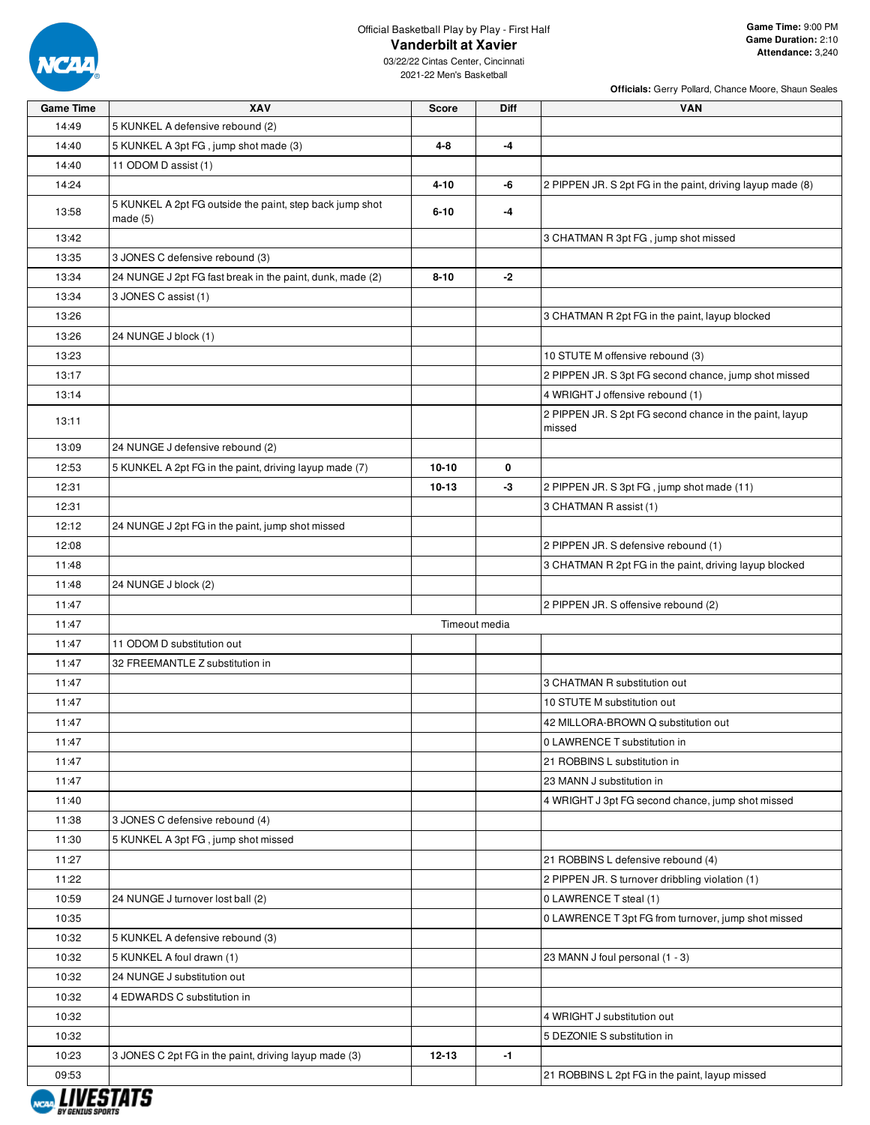

**Officials:** Gerry Pollard, Chance Moore, Shaun Seales

| <b>Game Time</b> | XAV                                                                 | <b>Score</b> | Diff          | <b>VAN</b>                                                 |
|------------------|---------------------------------------------------------------------|--------------|---------------|------------------------------------------------------------|
| 14:49            | 5 KUNKEL A defensive rebound (2)                                    |              |               |                                                            |
| 14:40            | 5 KUNKEL A 3pt FG, jump shot made (3)                               | 4-8          | $-4$          |                                                            |
| 14:40            | 11 ODOM D assist (1)                                                |              |               |                                                            |
| 14:24            |                                                                     | $4 - 10$     | -6            | 2 PIPPEN JR. S 2pt FG in the paint, driving layup made (8) |
| 13:58            | 5 KUNKEL A 2pt FG outside the paint, step back jump shot<br>made(5) | $6 - 10$     | -4            |                                                            |
| 13:42            |                                                                     |              |               | 3 CHATMAN R 3pt FG, jump shot missed                       |
| 13:35            | 3 JONES C defensive rebound (3)                                     |              |               |                                                            |
| 13:34            | 24 NUNGE J 2pt FG fast break in the paint, dunk, made (2)           | $8 - 10$     | -2            |                                                            |
| 13:34            | 3 JONES C assist (1)                                                |              |               |                                                            |
| 13:26            |                                                                     |              |               | 3 CHATMAN R 2pt FG in the paint, layup blocked             |
| 13:26            | 24 NUNGE J block (1)                                                |              |               |                                                            |
| 13:23            |                                                                     |              |               | 10 STUTE M offensive rebound (3)                           |
| 13:17            |                                                                     |              |               | 2 PIPPEN JR. S 3pt FG second chance, jump shot missed      |
| 13:14            |                                                                     |              |               | 4 WRIGHT J offensive rebound (1)                           |
| 13:11            |                                                                     |              |               | 2 PIPPEN JR. S 2pt FG second chance in the paint, layup    |
|                  |                                                                     |              |               | missed                                                     |
| 13:09            | 24 NUNGE J defensive rebound (2)                                    |              |               |                                                            |
| 12:53            | 5 KUNKEL A 2pt FG in the paint, driving layup made (7)              | $10 - 10$    | 0             |                                                            |
| 12:31            |                                                                     | $10 - 13$    | $-3$          | 2 PIPPEN JR. S 3pt FG, jump shot made (11)                 |
| 12:31            |                                                                     |              |               | 3 CHATMAN R assist (1)                                     |
| 12:12            | 24 NUNGE J 2pt FG in the paint, jump shot missed                    |              |               |                                                            |
| 12:08            |                                                                     |              |               | 2 PIPPEN JR. S defensive rebound (1)                       |
| 11:48            |                                                                     |              |               | 3 CHATMAN R 2pt FG in the paint, driving layup blocked     |
| 11:48            | 24 NUNGE J block (2)                                                |              |               |                                                            |
| 11:47            |                                                                     |              |               | 2 PIPPEN JR. S offensive rebound (2)                       |
| 11:47            |                                                                     |              | Timeout media |                                                            |
| 11:47            | 11 ODOM D substitution out                                          |              |               |                                                            |
| 11:47            | 32 FREEMANTLE Z substitution in                                     |              |               |                                                            |
| 11:47            |                                                                     |              |               | 3 CHATMAN R substitution out                               |
| 11:47            |                                                                     |              |               | 10 STUTE M substitution out                                |
| 11:47            |                                                                     |              |               | 42 MILLORA-BROWN Q substitution out                        |
| 11:47            |                                                                     |              |               | 0 LAWRENCE T substitution in                               |
| 11:47            |                                                                     |              |               | 21 ROBBINS L substitution in                               |
| 11:47            |                                                                     |              |               | 23 MANN J substitution in                                  |
| 11:40            |                                                                     |              |               | 4 WRIGHT J 3pt FG second chance, jump shot missed          |
| 11:38            | 3 JONES C defensive rebound (4)                                     |              |               |                                                            |
| 11:30            | 5 KUNKEL A 3pt FG, jump shot missed                                 |              |               |                                                            |
| 11:27            |                                                                     |              |               | 21 ROBBINS L defensive rebound (4)                         |
| 11:22            |                                                                     |              |               | 2 PIPPEN JR. S turnover dribbling violation (1)            |
| 10:59            | 24 NUNGE J turnover lost ball (2)                                   |              |               | 0 LAWRENCE T steal (1)                                     |
| 10:35            |                                                                     |              |               | 0 LAWRENCE T 3pt FG from turnover, jump shot missed        |
| 10:32            | 5 KUNKEL A defensive rebound (3)                                    |              |               |                                                            |
| 10:32            | 5 KUNKEL A foul drawn (1)                                           |              |               | 23 MANN J foul personal (1 - 3)                            |
| 10:32            | 24 NUNGE J substitution out                                         |              |               |                                                            |
| 10:32            | 4 EDWARDS C substitution in                                         |              |               |                                                            |
| 10:32            |                                                                     |              |               | 4 WRIGHT J substitution out                                |
| 10:32            |                                                                     |              |               | 5 DEZONIE S substitution in                                |
| 10:23            | 3 JONES C 2pt FG in the paint, driving layup made (3)               | 12-13        | $-1$          |                                                            |
| 09:53            |                                                                     |              |               | 21 ROBBINS L 2pt FG in the paint, layup missed             |

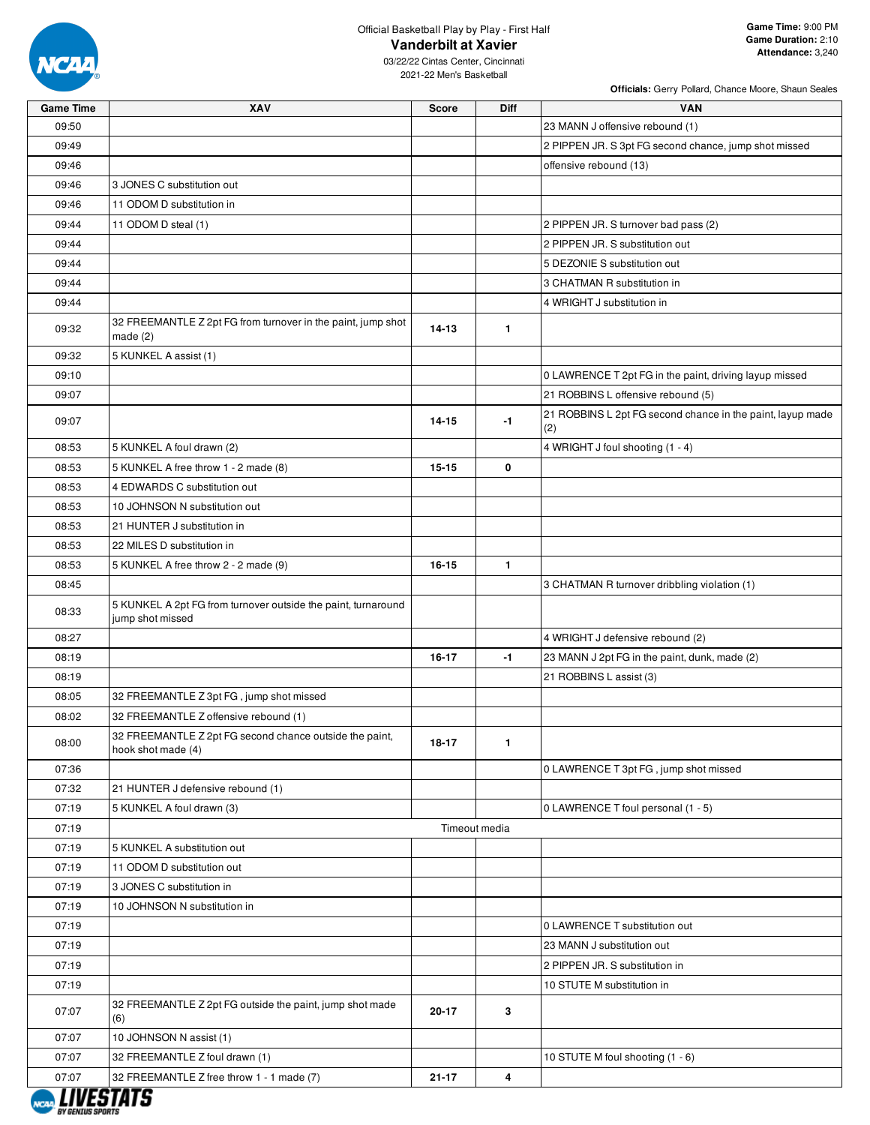

09:46 09:46

09:32

09:32

08:53 08:53 08:53 08:53

08:33

08:05

08:00

07:32

 $07:19$ 07:19  $07:19$ 07:19

07:07

07:07

## Official Basketball Play by Play - First Half **Vanderbilt at Xavier**

**Officials:** Gerry Pollard, Chance Moore, Shaun Seales

03/22/22 Cintas Center, Cincinnati 2021-22 Men's Basketball

**Game Time XAV Score Diff VAN**

| 09:50 |                                                                                   |           |               | 23 MANN J offensive rebound (1)                                   |
|-------|-----------------------------------------------------------------------------------|-----------|---------------|-------------------------------------------------------------------|
| 09:49 |                                                                                   |           |               | 2 PIPPEN JR. S 3pt FG second chance, jump shot missed             |
| 09:46 |                                                                                   |           |               | offensive rebound (13)                                            |
| 09:46 | 3 JONES C substitution out                                                        |           |               |                                                                   |
| 09:46 | 11 ODOM D substitution in                                                         |           |               |                                                                   |
| 09:44 | 11 ODOM D steal (1)                                                               |           |               | 2 PIPPEN JR. S turnover bad pass (2)                              |
| 09:44 |                                                                                   |           |               | 2 PIPPEN JR. S substitution out                                   |
| 09:44 |                                                                                   |           |               | 5 DEZONIE S substitution out                                      |
| 09:44 |                                                                                   |           |               | 3 CHATMAN R substitution in                                       |
| 09:44 |                                                                                   |           |               | 4 WRIGHT J substitution in                                        |
| 09:32 | 32 FREEMANTLE Z 2pt FG from turnover in the paint, jump shot<br>made(2)           | $14 - 13$ | $\mathbf{1}$  |                                                                   |
| 09:32 | 5 KUNKEL A assist (1)                                                             |           |               |                                                                   |
| 09:10 |                                                                                   |           |               | 0 LAWRENCE T 2pt FG in the paint, driving layup missed            |
| 09:07 |                                                                                   |           |               | 21 ROBBINS L offensive rebound (5)                                |
| 09:07 |                                                                                   | $14 - 15$ | $-1$          | 21 ROBBINS L 2pt FG second chance in the paint, layup made<br>(2) |
| 08:53 | 5 KUNKEL A foul drawn (2)                                                         |           |               | 4 WRIGHT J foul shooting (1 - 4)                                  |
| 08:53 | 5 KUNKEL A free throw 1 - 2 made (8)                                              | $15 - 15$ | 0             |                                                                   |
| 08:53 | 4 EDWARDS C substitution out                                                      |           |               |                                                                   |
| 08:53 | 10 JOHNSON N substitution out                                                     |           |               |                                                                   |
| 08:53 | 21 HUNTER J substitution in                                                       |           |               |                                                                   |
| 08:53 | 22 MILES D substitution in                                                        |           |               |                                                                   |
| 08:53 | 5 KUNKEL A free throw 2 - 2 made (9)                                              | 16-15     | $\mathbf{1}$  |                                                                   |
| 08:45 |                                                                                   |           |               | 3 CHATMAN R turnover dribbling violation (1)                      |
| 08:33 | 5 KUNKEL A 2pt FG from turnover outside the paint, turnaround<br>jump shot missed |           |               |                                                                   |
| 08:27 |                                                                                   |           |               | 4 WRIGHT J defensive rebound (2)                                  |
| 08:19 |                                                                                   | 16-17     | $-1$          | 23 MANN J 2pt FG in the paint, dunk, made (2)                     |
| 08:19 |                                                                                   |           |               | 21 ROBBINS L assist (3)                                           |
| 08:05 | 32 FREEMANTLE Z 3pt FG, jump shot missed                                          |           |               |                                                                   |
| 08:02 | 32 FREEMANTLE Z offensive rebound (1)                                             |           |               |                                                                   |
| 08:00 | 32 FREEMANTLE Z 2pt FG second chance outside the paint,<br>hook shot made (4)     | 18-17     | $\mathbf{1}$  |                                                                   |
| 07:36 |                                                                                   |           |               | 0 LAWRENCE T 3pt FG, jump shot missed                             |
| 07:32 | 21 HUNTER J defensive rebound (1)                                                 |           |               |                                                                   |
| 07:19 | 5 KUNKEL A foul drawn (3)                                                         |           |               | 0 LAWRENCE T foul personal (1 - 5)                                |
| 07:19 |                                                                                   |           | Timeout media |                                                                   |
| 07:19 | 5 KUNKEL A substitution out                                                       |           |               |                                                                   |
| 07:19 | 11 ODOM D substitution out                                                        |           |               |                                                                   |
| 07:19 | 3 JONES C substitution in                                                         |           |               |                                                                   |
| 07:19 | 10 JOHNSON N substitution in                                                      |           |               |                                                                   |
| 07:19 |                                                                                   |           |               | 0 LAWRENCE T substitution out                                     |
| 07:19 |                                                                                   |           |               | 23 MANN J substitution out                                        |
| 07:19 |                                                                                   |           |               | 2 PIPPEN JR. S substitution in                                    |
| 07:19 |                                                                                   |           |               | 10 STUTE M substitution in                                        |
| 07:07 | 32 FREEMANTLE Z 2pt FG outside the paint, jump shot made<br>(6)                   | 20-17     | 3             |                                                                   |
| 07:07 | 10 JOHNSON N assist (1)                                                           |           |               |                                                                   |
| 07:07 | 32 FREEMANTLE Z foul drawn (1)                                                    |           |               | 10 STUTE M foul shooting (1 - 6)                                  |



07:07 32 FREEMANTLE Z free throw 1 - 1 made (7) **21-17 4**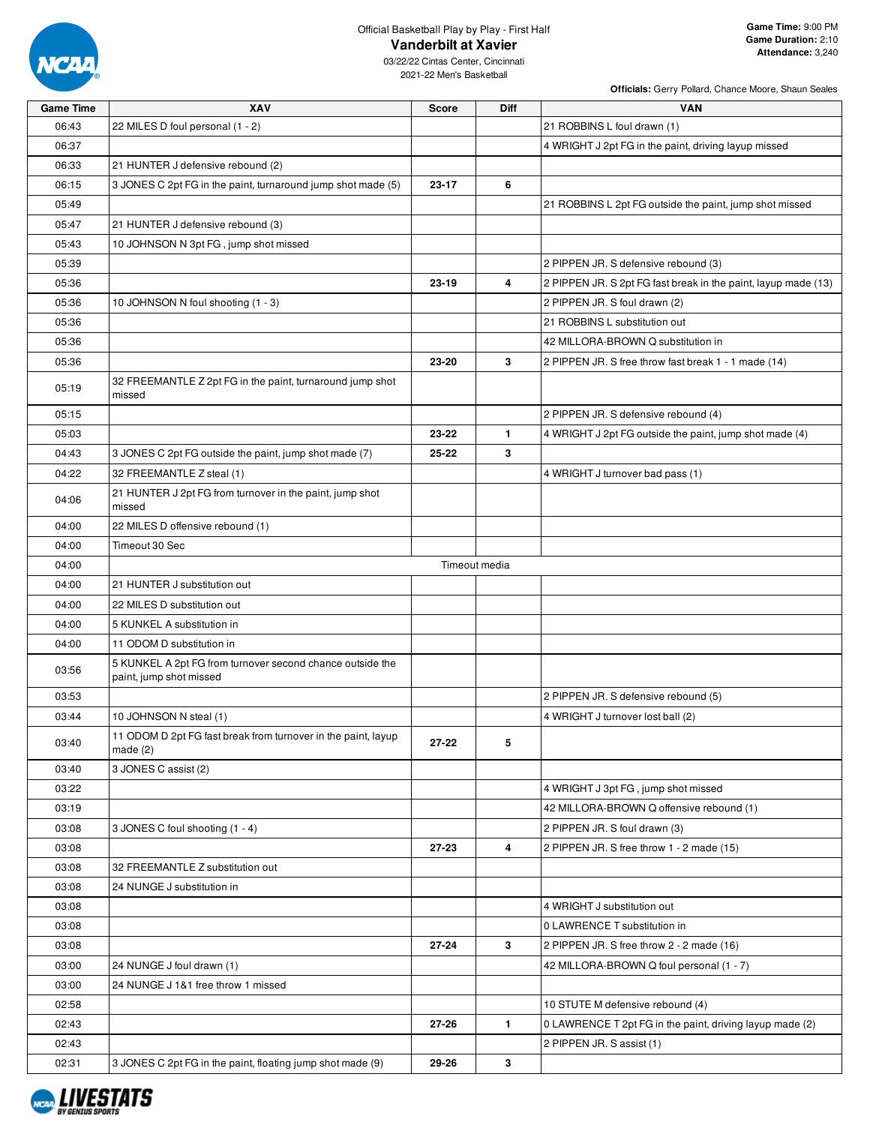

**Officials:** Gerry Pollard, Chance Moore, Shaun Seales

| <b>Game Time</b> | XAV                                                                                  | <b>Score</b>  | Diff         | <b>VAN</b>                                                     |
|------------------|--------------------------------------------------------------------------------------|---------------|--------------|----------------------------------------------------------------|
| 06:43            | 22 MILES D foul personal (1 - 2)                                                     |               |              | 21 ROBBINS L foul drawn (1)                                    |
| 06:37            |                                                                                      |               |              | 4 WRIGHT J 2pt FG in the paint, driving layup missed           |
| 06:33            | 21 HUNTER J defensive rebound (2)                                                    |               |              |                                                                |
| 06:15            | 3 JONES C 2pt FG in the paint, turnaround jump shot made (5)                         | 23-17         | 6            |                                                                |
| 05:49            |                                                                                      |               |              | 21 ROBBINS L 2pt FG outside the paint, jump shot missed        |
| 05:47            | 21 HUNTER J defensive rebound (3)                                                    |               |              |                                                                |
| 05:43            | 10 JOHNSON N 3pt FG, jump shot missed                                                |               |              |                                                                |
| 05:39            |                                                                                      |               |              | 2 PIPPEN JR. S defensive rebound (3)                           |
| 05:36            |                                                                                      | 23-19         | 4            | 2 PIPPEN JR. S 2pt FG fast break in the paint, layup made (13) |
| 05:36            | 10 JOHNSON N foul shooting (1 - 3)                                                   |               |              | 2 PIPPEN JR. S foul drawn (2)                                  |
| 05:36            |                                                                                      |               |              | 21 ROBBINS L substitution out                                  |
| 05:36            |                                                                                      |               |              | 42 MILLORA-BROWN Q substitution in                             |
| 05:36            |                                                                                      | 23-20         | 3            | 2 PIPPEN JR. S free throw fast break 1 - 1 made (14)           |
| 05:19            | 32 FREEMANTLE Z 2pt FG in the paint, turnaround jump shot<br>missed                  |               |              |                                                                |
| 05:15            |                                                                                      |               |              | 2 PIPPEN JR. S defensive rebound (4)                           |
| 05:03            |                                                                                      | 23-22         | $\mathbf{1}$ | 4 WRIGHT J 2pt FG outside the paint, jump shot made (4)        |
| 04:43            | 3 JONES C 2pt FG outside the paint, jump shot made (7)                               | 25-22         | 3            |                                                                |
| 04:22            | 32 FREEMANTLE Z steal (1)                                                            |               |              | 4 WRIGHT J turnover bad pass (1)                               |
| 04:06            | 21 HUNTER J 2pt FG from turnover in the paint, jump shot<br>missed                   |               |              |                                                                |
| 04:00            | 22 MILES D offensive rebound (1)                                                     |               |              |                                                                |
| 04:00            | Timeout 30 Sec                                                                       |               |              |                                                                |
| 04:00            |                                                                                      | Timeout media |              |                                                                |
| 04:00            | 21 HUNTER J substitution out                                                         |               |              |                                                                |
| 04:00            | 22 MILES D substitution out                                                          |               |              |                                                                |
| 04:00            | 5 KUNKEL A substitution in                                                           |               |              |                                                                |
| 04:00            | 11 ODOM D substitution in                                                            |               |              |                                                                |
| 03:56            | 5 KUNKEL A 2pt FG from turnover second chance outside the<br>paint, jump shot missed |               |              |                                                                |
| 03:53            |                                                                                      |               |              | 2 PIPPEN JR. S defensive rebound (5)                           |
| 03:44            | 10 JOHNSON N steal (1)                                                               |               |              | 4 WRIGHT J turnover lost ball (2)                              |
| 03:40            | 11 ODOM D 2pt FG fast break from turnover in the paint, layup<br>made $(2)$          | 27-22         | 5            |                                                                |
| 03:40            | 3 JONES C assist (2)                                                                 |               |              |                                                                |
| 03:22            |                                                                                      |               |              | 4 WRIGHT J 3pt FG, jump shot missed                            |
| 03:19            |                                                                                      |               |              | 42 MILLORA-BROWN Q offensive rebound (1)                       |
| 03:08            | 3 JONES C foul shooting (1 - 4)                                                      |               |              | 2 PIPPEN JR. S foul drawn (3)                                  |
| 03:08            |                                                                                      | 27-23         | 4            | 2 PIPPEN JR. S free throw 1 - 2 made (15)                      |
| 03:08            | 32 FREEMANTLE Z substitution out                                                     |               |              |                                                                |
| 03:08            | 24 NUNGE J substitution in                                                           |               |              |                                                                |
| 03:08            |                                                                                      |               |              | 4 WRIGHT J substitution out                                    |
| 03:08            |                                                                                      |               |              | 0 LAWRENCE T substitution in                                   |
| 03:08            |                                                                                      | 27-24         | 3            | 2 PIPPEN JR. S free throw 2 - 2 made (16)                      |
| 03:00            | 24 NUNGE J foul drawn (1)                                                            |               |              | 42 MILLORA-BROWN Q foul personal (1 - 7)                       |
| 03:00            | 24 NUNGE J 1&1 free throw 1 missed                                                   |               |              |                                                                |
| 02:58            |                                                                                      |               |              | 10 STUTE M defensive rebound (4)                               |
| 02:43            |                                                                                      | 27-26         | $\mathbf{1}$ | 0 LAWRENCE T 2pt FG in the paint, driving layup made (2)       |
| 02:43            |                                                                                      |               |              | 2 PIPPEN JR. S assist (1)                                      |
| 02:31            | 3 JONES C 2pt FG in the paint, floating jump shot made (9)                           | 29-26         | 3            |                                                                |

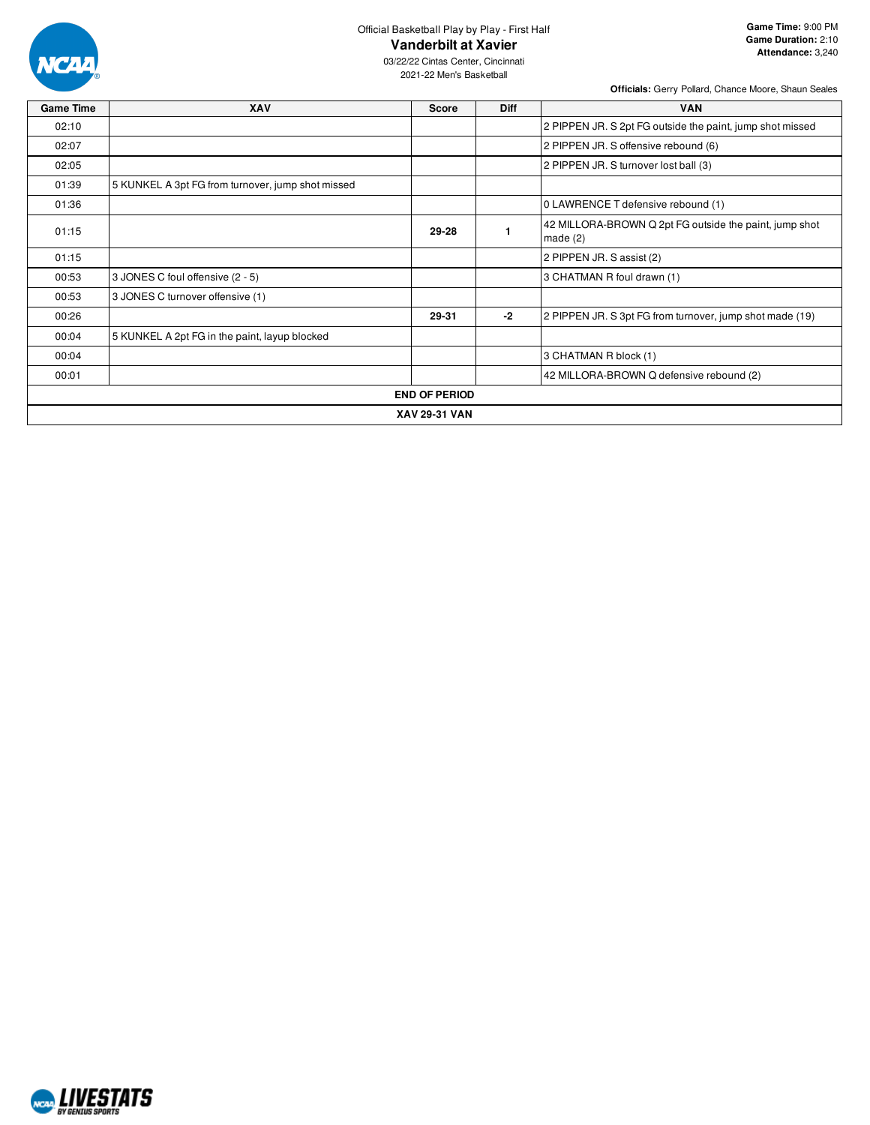

03/22/22 Cintas Center, Cincinnati 2021-22 Men's Basketball

| <b>Game Time</b> | <b>XAV</b>                                        | <b>Score</b>         | <b>Diff</b> | <b>VAN</b>                                                           |
|------------------|---------------------------------------------------|----------------------|-------------|----------------------------------------------------------------------|
| 02:10            |                                                   |                      |             | 2 PIPPEN JR. S 2pt FG outside the paint, jump shot missed            |
| 02:07            |                                                   |                      |             | 2 PIPPEN JR. S offensive rebound (6)                                 |
| 02:05            |                                                   |                      |             | 2 PIPPEN JR. S turnover lost ball (3)                                |
| 01:39            | 5 KUNKEL A 3pt FG from turnover, jump shot missed |                      |             |                                                                      |
| 01:36            |                                                   |                      |             | 0 LAWRENCE T defensive rebound (1)                                   |
| 01:15            |                                                   | 29-28                |             | 42 MILLORA-BROWN Q 2pt FG outside the paint, jump shot<br>made $(2)$ |
| 01:15            |                                                   |                      |             | 2 PIPPEN JR. S assist (2)                                            |
| 00:53            | 3 JONES C foul offensive (2 - 5)                  |                      |             | 3 CHATMAN R foul drawn (1)                                           |
| 00:53            | 3 JONES C turnover offensive (1)                  |                      |             |                                                                      |
| 00:26            |                                                   | 29-31                | $-2$        | 2 PIPPEN JR. S 3pt FG from turnover, jump shot made (19)             |
| 00:04            | 5 KUNKEL A 2pt FG in the paint, layup blocked     |                      |             |                                                                      |
| 00:04            |                                                   |                      |             | 3 CHATMAN R block (1)                                                |
| 00:01            |                                                   |                      |             | 42 MILLORA-BROWN Q defensive rebound (2)                             |
|                  |                                                   | <b>END OF PERIOD</b> |             |                                                                      |
|                  |                                                   | <b>XAV 29-31 VAN</b> |             |                                                                      |

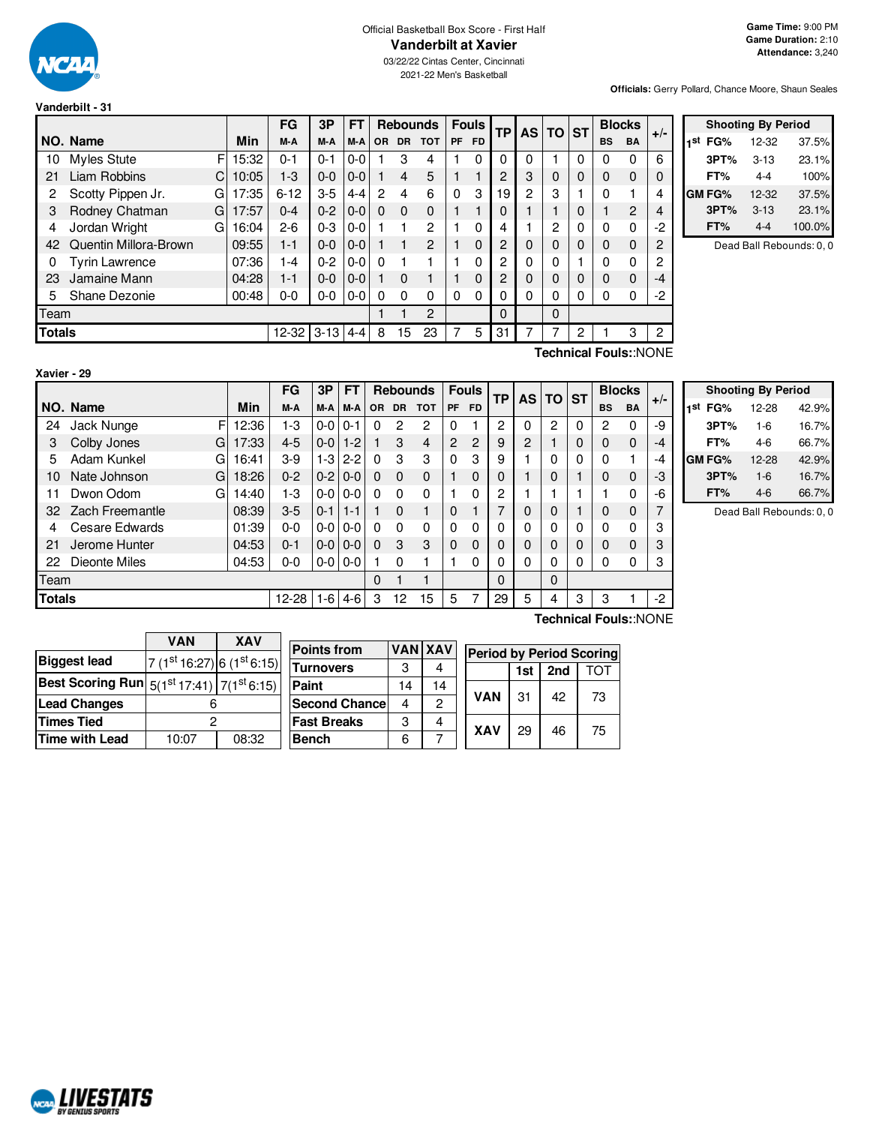

## Official Basketball Box Score - First Half **Vanderbilt at Xavier**

03/22/22 Cintas Center, Cincinnati 2021-22 Men's Basketball

**Officials:** Gerry Pollard, Chance Moore, Shaun Seales

#### **Vanderbilt - 31**

|               |                                |   |       | FG         | 3P      | FТ      |           |           | <b>Rebounds</b> |          | <b>Fouls</b> | <b>TP</b>      | AS       | <b>TO ST</b> |   |           | <b>Blocks</b>  | $+/-$ |  |
|---------------|--------------------------------|---|-------|------------|---------|---------|-----------|-----------|-----------------|----------|--------------|----------------|----------|--------------|---|-----------|----------------|-------|--|
|               | NO. Name                       |   | Min   | M-A        | M-A     | M-A     | <b>OR</b> | <b>DR</b> | <b>TOT</b>      | PF       | <b>FD</b>    |                |          |              |   | <b>BS</b> | <b>BA</b>      |       |  |
| 10            | <b>Myles Stute</b>             | F | 15:32 | $0 - 1$    | $0 - 1$ | $0-0$   |           | 3         | 4               |          | $\Omega$     | $\Omega$       | 0        |              | 0 | 0         | 0              | 6     |  |
| 21            | Liam Robbins                   | C | 10:05 | 1-3        | $0 - 0$ | $0-0$   |           | 4         | 5               |          |              | $\overline{2}$ | 3        | $\Omega$     | 0 | 0         | $\mathbf 0$    | 0     |  |
| 2             | Scotty Pippen Jr.              | G | 17:35 | $6 - 12$   | $3-5$   | $4 - 4$ | 2         | 4         | 6               | $\Omega$ | 3            | 19             | 2        | 3            |   | $\Omega$  |                | 4     |  |
| 3             | Rodney Chatman                 | G | 17:57 | $0 - 4$    | $0 - 2$ | $0-0$   | $\Omega$  | $\Omega$  | $\Omega$        |          |              | 0              |          |              | 0 |           | $\overline{2}$ | 4     |  |
| 4             | Jordan Wright                  | G | 16:04 | $2 - 6$    | $0 - 3$ | $0-0$   |           |           | 2               |          | 0            | 4              |          | 2            | 0 | $\Omega$  | 0              | $-2$  |  |
| 42            | Quentin Millora-Brown          |   | 09:55 | $1 - 1$    | $0-0$   | $0-0$   |           |           | 2               |          | $\Omega$     | 2              | 0        | $\Omega$     | 0 | 0         | $\mathbf 0$    | 2     |  |
| 0             | <b>Tyrin Lawrence</b><br>07:36 |   |       |            | $0 - 2$ | $0-0$   | $\Omega$  |           |                 |          | 0            | 2              | 0        | $\Omega$     |   | O         | 0              | 2     |  |
| 23            | Jamaine Mann                   |   | 04:28 | $1 - 1$    | $0-0$   | $0-0$   |           | 0         |                 |          | $\Omega$     | 2              | $\Omega$ | $\Omega$     | 0 | 0         | $\Omega$       | $-4$  |  |
| 5             | Shane Dezonie                  |   | 00:48 | $0-0$      | $0-0$   | $0-0$   | $\Omega$  | 0         | 0               | 0        | 0            | 0              | 0        | 0            | 0 | $\Omega$  | 0              | $-2$  |  |
| Team          |                                |   |       |            |         |         |           | 2         |                 |          | $\Omega$     |                | $\Omega$ |              |   |           |                |       |  |
| <b>Totals</b> |                                |   | 12-32 | $3-13$ 4-4 |         | 8       | 15        | 23        |                 | 5        | 31           |                |          | 2            |   | 3         | 2              |       |  |

|     | <b>Shooting By Period</b> |          |        |  |  |  |  |  |  |
|-----|---------------------------|----------|--------|--|--|--|--|--|--|
| 1st | FG%                       | 12-32    | 37.5%  |  |  |  |  |  |  |
|     | 3PT%                      | $3 - 13$ | 23.1%  |  |  |  |  |  |  |
|     | FT%                       | 4-4      | 100%   |  |  |  |  |  |  |
|     | <b>GM FG%</b>             | 12-32    | 37.5%  |  |  |  |  |  |  |
|     | 3PT%                      | $3 - 13$ | 23.1%  |  |  |  |  |  |  |
|     | FT%                       | $4 - 4$  | 100.0% |  |  |  |  |  |  |

Dead Ball Rebounds: 0, 0

| Xavier | - 29 |
|--------|------|
|        |      |

**Technical Fouls:**:NONE

|               |                   |       | FG        | 3P            | <b>FT</b>     |           |             | <b>Rebounds</b> |    | <b>Fouls</b> | <b>TP</b> | <b>AS</b> | <b>TO</b> | <b>ST</b> | <b>Blocks</b>         |              |       |
|---------------|-------------------|-------|-----------|---------------|---------------|-----------|-------------|-----------------|----|--------------|-----------|-----------|-----------|-----------|-----------------------|--------------|-------|
|               | NO. Name          | Min   | M-A       | M-A           | M-A           | <b>OR</b> | <b>DR</b>   | <b>TOT</b>      | PF | <b>FD</b>    |           |           |           |           | <b>BS</b>             | <b>BA</b>    | $+/-$ |
| 24            | F<br>Jack Nunge   | 12:36 | 1-3       | $0-0$         | $0 - 1$       | 0         | 2           | 2               | ი  |              | 2         | 0         | 2         | $\Omega$  | 2                     | 0            | -9    |
| 3             | Colby Jones<br>G  | 17:33 | $4 - 5$   | $0 - 0$ 1 - 2 |               |           | 3           | 4               | 2  | 2            | 9         | 2         |           | 0         | 0                     | $\mathbf{0}$ | -4    |
| 5             | Adam Kunkel<br>G  | 16:41 | $3-9$     | $1-3$         | $2 - 2$       | $\Omega$  | 3           | 3               | 0  | 3            | 9         |           | $\Omega$  | 0         | 0                     | 1            | -4    |
| 10            | G<br>Nate Johnson | 18:26 | $0 - 2$   |               | $0-2$   $0-0$ | $\Omega$  | $\Omega$    | $\Omega$        |    | 0            | 0         |           | 0         |           | 0                     | $\mathbf 0$  | -3    |
| 11            | Dwon Odom<br>G    | 14:40 | 1-3       |               | $0 - 0 0 - 0$ | $\Omega$  | $\Omega$    | $\Omega$        |    | 0            | 2         |           |           |           |                       | 0            | -6    |
| 32            | Zach Freemantle   | 08:39 | $3-5$     | $0 - 111 - 1$ |               |           | $\mathbf 0$ |                 | 0  |              | 7         | 0         | $\Omega$  |           | 0                     | 0            |       |
| 4             | Cesare Edwards    | 01:39 | $0 - 0$   | $0-0$         | $0-0$         | $\Omega$  | $\Omega$    | 0               | 0  | 0            | 0         | 0         | 0         | 0         | $\Omega$              | 0            | 3     |
| 21            | Jerome Hunter     | 04:53 | $0 - 1$   |               | $0 - 0 0 - 0$ | $\Omega$  | 3           | 3               | 0  | 0            | 0         | 0         | 0         | 0         | 0                     | $\mathbf 0$  | 3     |
| 22            | Dieonte Miles     | 04:53 | $0 - 0$   |               | $0 - 0 0 - 0$ |           | $\Omega$    |                 |    | 0            | 0         | 0         | 0         | 0         |                       | 0            | 3     |
| Team          |                   |       |           |               |               | 0         |             |                 |    |              | 0         |           | $\Omega$  |           |                       |              |       |
| <b>Totals</b> |                   |       | $12 - 28$ | $1-6$         | $4-6$         | 3         | 12          | 15              | 5  |              | 29        | 5         | 4         | 3         | 3                     |              | $-2$  |
|               |                   |       |           |               |               |           |             |                 |    |              |           |           |           |           | Technical Fouls::NONE |              |       |

|     | <b>Shooting By Period</b> |         |       |  |  |  |  |  |  |
|-----|---------------------------|---------|-------|--|--|--|--|--|--|
| 1st | FG%                       | 12-28   | 42.9% |  |  |  |  |  |  |
|     | 3PT%                      | $1 - 6$ | 16.7% |  |  |  |  |  |  |
|     | FT%                       | 4-6     | 66.7% |  |  |  |  |  |  |
|     | GM FG%                    | 12-28   | 42.9% |  |  |  |  |  |  |
|     | 3PT%                      | $1 - 6$ | 16.7% |  |  |  |  |  |  |
|     | FT%                       | $4-6$   | 66.7% |  |  |  |  |  |  |

Dead Ball Rebounds: 0, 0

|                                                            | <b>VAN</b>              | <b>XAV</b> |  |  |  |
|------------------------------------------------------------|-------------------------|------------|--|--|--|
| <b>Biggest lead</b>                                        | $7(1st16:27)6(1st6:15)$ |            |  |  |  |
| <b>Best Scoring Run</b> $5(1^{st}17:41)$ 7( $1^{st}6:15$ ) |                         |            |  |  |  |
| <b>Lead Changes</b>                                        |                         |            |  |  |  |
| <b>Times Tied</b>                                          |                         |            |  |  |  |
| <b>Time with Lead</b>                                      | 10:07                   | 08:32      |  |  |  |

| <b>Points from</b>   |    | <b>VAN XAV</b> | <b>Period by Period Scoring</b> |     |     |     |  |  |  |
|----------------------|----|----------------|---------------------------------|-----|-----|-----|--|--|--|
| <b>Turnovers</b>     | 3  |                |                                 | 1st | 2nd | ומז |  |  |  |
| Paint                | 14 | 14             |                                 |     | 42  |     |  |  |  |
| <b>Second Chance</b> | 4  | 2              | <b>VAN</b>                      | 31  |     | 73  |  |  |  |
| <b>Fast Breaks</b>   | 3  |                | <b>XAV</b>                      |     |     |     |  |  |  |
| <b>Bench</b>         | 6  |                |                                 | 29  | 46  | 75  |  |  |  |

NCAL LIVESTATS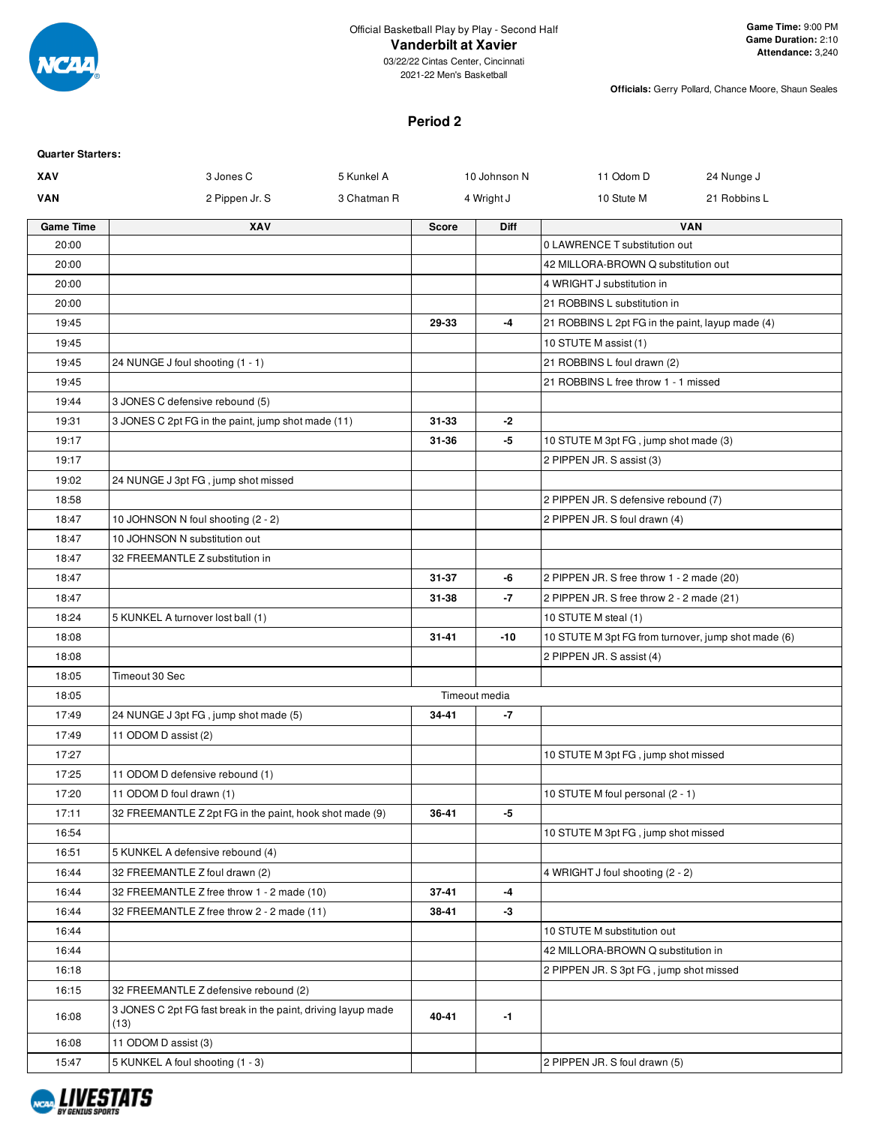

03/22/22 Cintas Center, Cincinnati 2021-22 Men's Basketball

**Officials:** Gerry Pollard, Chance Moore, Shaun Seales

# **Period 2**

| <b>Quarter Starters:</b> |                                                              |             |              |               |                                                     |              |
|--------------------------|--------------------------------------------------------------|-------------|--------------|---------------|-----------------------------------------------------|--------------|
| XAV                      | 3 Jones C                                                    | 5 Kunkel A  |              | 10 Johnson N  | 11 Odom D                                           | 24 Nunge J   |
| <b>VAN</b>               | 2 Pippen Jr. S                                               | 3 Chatman R |              | 4 Wright J    | 10 Stute M                                          | 21 Robbins L |
| <b>Game Time</b>         | XAV                                                          |             | <b>Score</b> | <b>Diff</b>   |                                                     | <b>VAN</b>   |
| 20:00                    |                                                              |             |              |               | 0 LAWRENCE T substitution out                       |              |
| 20:00                    |                                                              |             |              |               | 42 MILLORA-BROWN Q substitution out                 |              |
| 20:00                    |                                                              |             |              |               | 4 WRIGHT J substitution in                          |              |
| 20:00                    |                                                              |             |              |               | 21 ROBBINS L substitution in                        |              |
| 19:45                    |                                                              |             | 29-33        | -4            | 21 ROBBINS L 2pt FG in the paint, layup made (4)    |              |
| 19:45                    |                                                              |             |              |               | 10 STUTE M assist (1)                               |              |
| 19:45                    | 24 NUNGE J foul shooting (1 - 1)                             |             |              |               | 21 ROBBINS L foul drawn (2)                         |              |
| 19:45                    |                                                              |             |              |               | 21 ROBBINS L free throw 1 - 1 missed                |              |
| 19:44                    | 3 JONES C defensive rebound (5)                              |             |              |               |                                                     |              |
| 19:31                    | 3 JONES C 2pt FG in the paint, jump shot made (11)           |             | $31 - 33$    | -2            |                                                     |              |
| 19:17                    |                                                              |             | 31-36        | -5            | 10 STUTE M 3pt FG, jump shot made (3)               |              |
| 19:17                    |                                                              |             |              |               | 2 PIPPEN JR. S assist (3)                           |              |
| 19:02                    | 24 NUNGE J 3pt FG, jump shot missed                          |             |              |               |                                                     |              |
| 18:58                    |                                                              |             |              |               | 2 PIPPEN JR. S defensive rebound (7)                |              |
| 18:47                    | 10 JOHNSON N foul shooting (2 - 2)                           |             |              |               | 2 PIPPEN JR. S foul drawn (4)                       |              |
| 18:47                    | 10 JOHNSON N substitution out                                |             |              |               |                                                     |              |
| 18:47                    | 32 FREEMANTLE Z substitution in                              |             |              |               |                                                     |              |
| 18:47                    |                                                              |             | $31 - 37$    | -6            | 2 PIPPEN JR. S free throw 1 - 2 made (20)           |              |
| 18:47                    |                                                              |             | 31-38        | -7            | 2 PIPPEN JR. S free throw 2 - 2 made (21)           |              |
| 18:24                    | 5 KUNKEL A turnover lost ball (1)                            |             |              |               | 10 STUTE M steal (1)                                |              |
| 18:08                    |                                                              |             | $31 - 41$    | $-10$         | 10 STUTE M 3pt FG from turnover, jump shot made (6) |              |
| 18:08                    |                                                              |             |              |               | 2 PIPPEN JR. S assist (4)                           |              |
| 18:05                    | Timeout 30 Sec                                               |             |              |               |                                                     |              |
| 18:05                    |                                                              |             |              | Timeout media |                                                     |              |
| 17:49                    | 24 NUNGE J 3pt FG, jump shot made (5)                        |             | 34-41        | -7            |                                                     |              |
| 17:49                    | 11 ODOM D assist (2)                                         |             |              |               |                                                     |              |
| 17:27                    |                                                              |             |              |               | 10 STUTE M 3pt FG, jump shot missed                 |              |
| 17:25                    | 11 ODOM D defensive rebound (1)                              |             |              |               |                                                     |              |
| 17:20                    | 11 ODOM D foul drawn (1)                                     |             |              |               | 10 STUTE M foul personal (2 - 1)                    |              |
| 17:11                    | 32 FREEMANTLE Z 2pt FG in the paint, hook shot made (9)      |             | 36-41        | -5            |                                                     |              |
| 16:54                    |                                                              |             |              |               | 10 STUTE M 3pt FG, jump shot missed                 |              |
| 16:51                    | 5 KUNKEL A defensive rebound (4)                             |             |              |               |                                                     |              |
| 16:44                    | 32 FREEMANTLE Z foul drawn (2)                               |             |              |               | 4 WRIGHT J foul shooting (2 - 2)                    |              |
| 16:44                    | 32 FREEMANTLE Z free throw 1 - 2 made (10)                   |             | 37-41        | -4            |                                                     |              |
| 16:44                    | 32 FREEMANTLE Z free throw 2 - 2 made (11)                   |             | 38-41        | -3            |                                                     |              |
| 16:44                    |                                                              |             |              |               | 10 STUTE M substitution out                         |              |
| 16:44                    |                                                              |             |              |               | 42 MILLORA-BROWN Q substitution in                  |              |
| 16:18                    |                                                              |             |              |               | 2 PIPPEN JR. S 3pt FG, jump shot missed             |              |
| 16:15                    | 32 FREEMANTLE Z defensive rebound (2)                        |             |              |               |                                                     |              |
|                          | 3 JONES C 2pt FG fast break in the paint, driving layup made |             |              |               |                                                     |              |
| 16:08                    | (13)                                                         |             | 40-41        | -1            |                                                     |              |
| 16:08                    | 11 ODOM D assist (3)                                         |             |              |               |                                                     |              |
| 15:47                    | 5 KUNKEL A foul shooting (1 - 3)                             |             |              |               | 2 PIPPEN JR. S foul drawn (5)                       |              |
|                          |                                                              |             |              |               |                                                     |              |

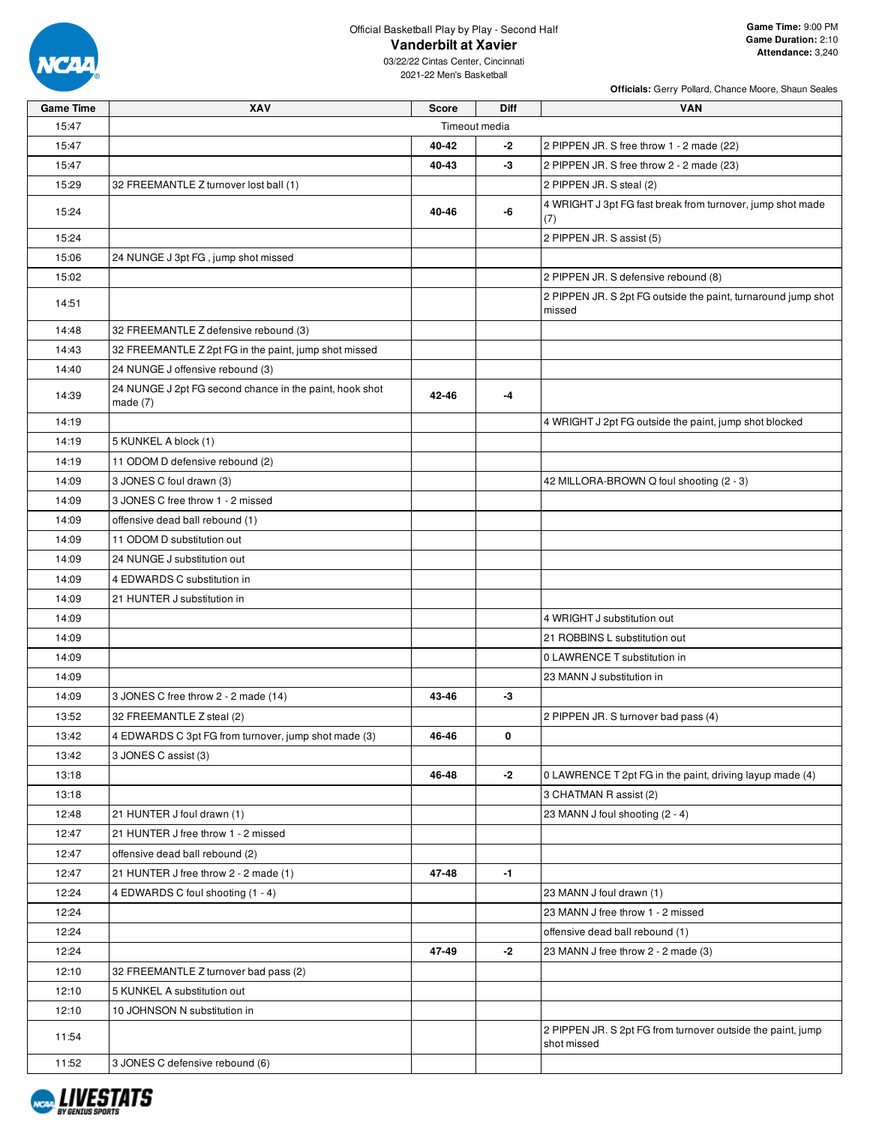

**Officials:** Gerry Pollard, Chance Moore, Shaun Seales

| <b>Game Time</b> | XAV                                                                   | <b>Score</b>  | <b>Diff</b> | <b>VAN</b>                                                                 |
|------------------|-----------------------------------------------------------------------|---------------|-------------|----------------------------------------------------------------------------|
| 15:47            |                                                                       | Timeout media |             |                                                                            |
| 15:47            |                                                                       | 40-42         | -2          | 2 PIPPEN JR. S free throw 1 - 2 made (22)                                  |
| 15:47            |                                                                       | 40-43         | -3          | 2 PIPPEN JR. S free throw 2 - 2 made (23)                                  |
| 15:29            | 32 FREEMANTLE Z turnover lost ball (1)                                |               |             | 2 PIPPEN JR. S steal (2)                                                   |
| 15:24            |                                                                       | 40-46         | -6          | 4 WRIGHT J 3pt FG fast break from turnover, jump shot made<br>(7)          |
| 15:24            |                                                                       |               |             | 2 PIPPEN JR. S assist (5)                                                  |
| 15:06            | 24 NUNGE J 3pt FG, jump shot missed                                   |               |             |                                                                            |
| 15:02            |                                                                       |               |             | 2 PIPPEN JR. S defensive rebound (8)                                       |
| 14:51            |                                                                       |               |             | 2 PIPPEN JR. S 2pt FG outside the paint, turnaround jump shot<br>missed    |
| 14:48            | 32 FREEMANTLE Z defensive rebound (3)                                 |               |             |                                                                            |
| 14:43            | 32 FREEMANTLE Z 2pt FG in the paint, jump shot missed                 |               |             |                                                                            |
| 14:40            | 24 NUNGE J offensive rebound (3)                                      |               |             |                                                                            |
| 14:39            | 24 NUNGE J 2pt FG second chance in the paint, hook shot<br>made $(7)$ | 42-46         | -4          |                                                                            |
| 14:19            |                                                                       |               |             | 4 WRIGHT J 2pt FG outside the paint, jump shot blocked                     |
| 14:19            | 5 KUNKEL A block (1)                                                  |               |             |                                                                            |
| 14:19            | 11 ODOM D defensive rebound (2)                                       |               |             |                                                                            |
| 14:09            | 3 JONES C foul drawn (3)                                              |               |             | 42 MILLORA-BROWN Q foul shooting (2 - 3)                                   |
| 14:09            | 3 JONES C free throw 1 - 2 missed                                     |               |             |                                                                            |
| 14:09            | offensive dead ball rebound (1)                                       |               |             |                                                                            |
| 14:09            | 11 ODOM D substitution out                                            |               |             |                                                                            |
| 14:09            | 24 NUNGE J substitution out                                           |               |             |                                                                            |
| 14:09            | 4 EDWARDS C substitution in                                           |               |             |                                                                            |
| 14:09            | 21 HUNTER J substitution in                                           |               |             |                                                                            |
| 14:09            |                                                                       |               |             | 4 WRIGHT J substitution out                                                |
| 14:09            |                                                                       |               |             | 21 ROBBINS L substitution out                                              |
| 14:09            |                                                                       |               |             | 0 LAWRENCE T substitution in                                               |
| 14:09            |                                                                       |               |             | 23 MANN J substitution in                                                  |
| 14:09            | 3 JONES C free throw 2 - 2 made (14)                                  | 43-46         | -3          |                                                                            |
| 13:52            | 32 FREEMANTLE Z steal (2)                                             |               |             | 2 PIPPEN JR. S turnover bad pass (4)                                       |
| 13:42            | 4 EDWARDS C 3pt FG from turnover, jump shot made (3)                  | 46-46         | 0           |                                                                            |
| 13:42            | 3 JONES C assist (3)                                                  |               |             |                                                                            |
| 13:18            |                                                                       | 46-48         | -2          | 0 LAWRENCE T 2pt FG in the paint, driving layup made (4)                   |
| 13:18            |                                                                       |               |             | 3 CHATMAN R assist (2)                                                     |
| 12:48            | 21 HUNTER J foul drawn (1)                                            |               |             | 23 MANN J foul shooting (2 - 4)                                            |
| 12:47            | 21 HUNTER J free throw 1 - 2 missed                                   |               |             |                                                                            |
| 12:47            | offensive dead ball rebound (2)                                       |               |             |                                                                            |
| 12:47            | 21 HUNTER J free throw 2 - 2 made (1)                                 | 47-48         | $-1$        |                                                                            |
| 12:24            | 4 EDWARDS C foul shooting (1 - 4)                                     |               |             | 23 MANN J foul drawn (1)                                                   |
| 12:24            |                                                                       |               |             | 23 MANN J free throw 1 - 2 missed                                          |
| 12:24            |                                                                       |               |             | offensive dead ball rebound (1)                                            |
| 12:24            |                                                                       | 47-49         | -2          | 23 MANN J free throw 2 - 2 made (3)                                        |
| 12:10            | 32 FREEMANTLE Z turnover bad pass (2)                                 |               |             |                                                                            |
| 12:10            | 5 KUNKEL A substitution out                                           |               |             |                                                                            |
| 12:10            | 10 JOHNSON N substitution in                                          |               |             |                                                                            |
| 11:54            |                                                                       |               |             | 2 PIPPEN JR. S 2pt FG from turnover outside the paint, jump<br>shot missed |
| 11:52            | 3 JONES C defensive rebound (6)                                       |               |             |                                                                            |

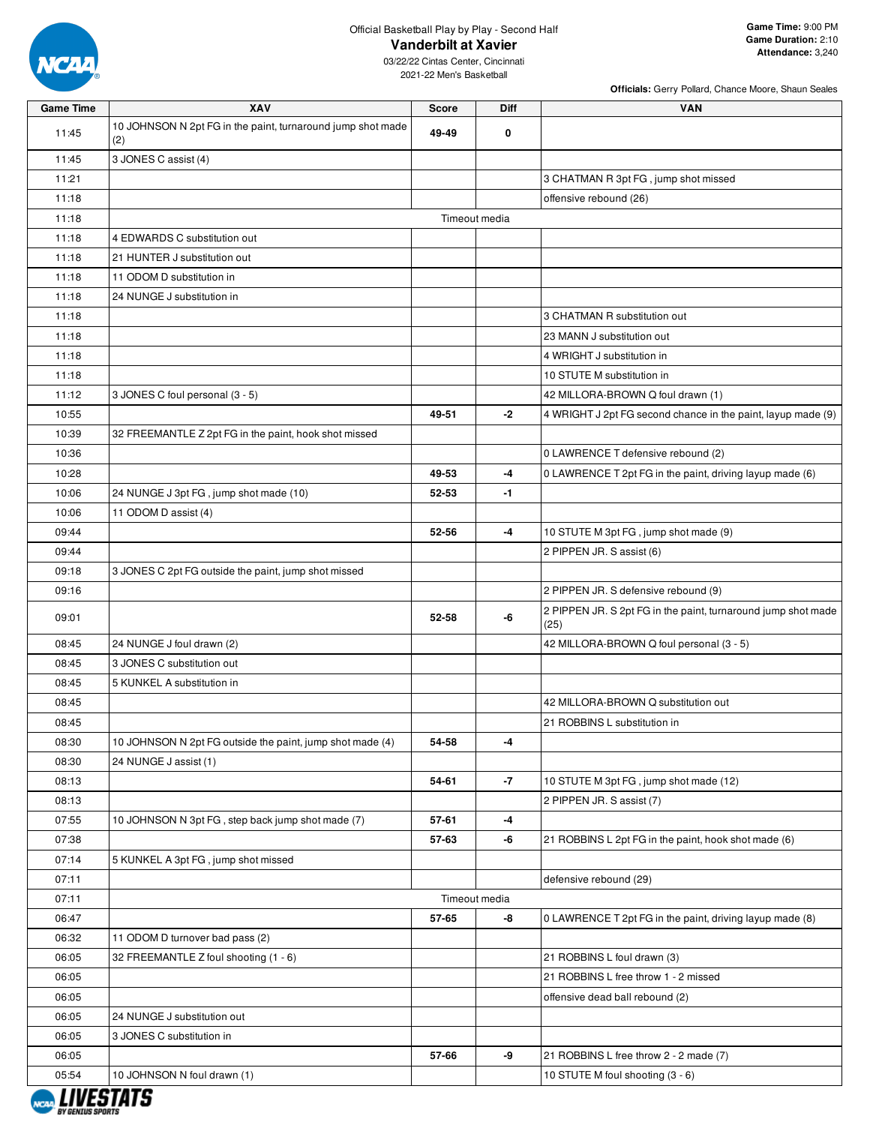

**Officials:** Gerry Pollard, Chance Moore, Shaun Seales

| <b>Game Time</b> | XAV                                                                | <b>Score</b> | Diff          | <b>VAN</b>                                                            |
|------------------|--------------------------------------------------------------------|--------------|---------------|-----------------------------------------------------------------------|
| 11:45            | 10 JOHNSON N 2pt FG in the paint, turnaround jump shot made<br>(2) | 49-49        | 0             |                                                                       |
| 11:45            | 3 JONES C assist (4)                                               |              |               |                                                                       |
| 11:21            |                                                                    |              |               | 3 CHATMAN R 3pt FG, jump shot missed                                  |
| 11:18            |                                                                    |              |               | offensive rebound (26)                                                |
| 11:18            |                                                                    |              | Timeout media |                                                                       |
| 11:18            | 4 EDWARDS C substitution out                                       |              |               |                                                                       |
| 11:18            | 21 HUNTER J substitution out                                       |              |               |                                                                       |
| 11:18            | 11 ODOM D substitution in                                          |              |               |                                                                       |
| 11:18            | 24 NUNGE J substitution in                                         |              |               |                                                                       |
| 11:18            |                                                                    |              |               | 3 CHATMAN R substitution out                                          |
| 11:18            |                                                                    |              |               | 23 MANN J substitution out                                            |
| 11:18            |                                                                    |              |               | 4 WRIGHT J substitution in                                            |
| 11:18            |                                                                    |              |               | 10 STUTE M substitution in                                            |
| 11:12            | 3 JONES C foul personal (3 - 5)                                    |              |               | 42 MILLORA-BROWN Q foul drawn (1)                                     |
| 10:55            |                                                                    | 49-51        | $-2$          | 4 WRIGHT J 2pt FG second chance in the paint, layup made (9)          |
| 10:39            | 32 FREEMANTLE Z 2pt FG in the paint, hook shot missed              |              |               |                                                                       |
| 10:36            |                                                                    |              |               | 0 LAWRENCE T defensive rebound (2)                                    |
| 10:28            |                                                                    | 49-53        | $-4$          | 0 LAWRENCE T 2pt FG in the paint, driving layup made (6)              |
| 10:06            | 24 NUNGE J 3pt FG, jump shot made (10)                             | 52-53        | $-1$          |                                                                       |
| 10:06            | 11 ODOM D assist (4)                                               |              |               |                                                                       |
| 09:44            |                                                                    | 52-56        | $-4$          | 10 STUTE M 3pt FG, jump shot made (9)                                 |
| 09:44            |                                                                    |              |               | 2 PIPPEN JR. S assist (6)                                             |
| 09:18            | 3 JONES C 2pt FG outside the paint, jump shot missed               |              |               |                                                                       |
| 09:16            |                                                                    |              |               | 2 PIPPEN JR. S defensive rebound (9)                                  |
| 09:01            |                                                                    | 52-58        | -6            | 2 PIPPEN JR. S 2pt FG in the paint, turnaround jump shot made<br>(25) |
| 08:45            | 24 NUNGE J foul drawn (2)                                          |              |               | 42 MILLORA-BROWN Q foul personal (3 - 5)                              |
| 08:45            | 3 JONES C substitution out                                         |              |               |                                                                       |
| 08:45            | 5 KUNKEL A substitution in                                         |              |               |                                                                       |
| 08:45            |                                                                    |              |               | 42 MILLORA-BROWN Q substitution out                                   |
| 08:45            |                                                                    |              |               | 21 ROBBINS L substitution in                                          |
| 08:30            | 10 JOHNSON N 2pt FG outside the paint, jump shot made (4)          | 54-58        | -4            |                                                                       |
| 08:30            | 24 NUNGE J assist (1)                                              |              |               |                                                                       |
| 08:13            |                                                                    | 54-61        | $-7$          | 10 STUTE M 3pt FG, jump shot made (12)                                |
| 08:13            |                                                                    |              |               | 2 PIPPEN JR. S assist (7)                                             |
| 07:55            | 10 JOHNSON N 3pt FG, step back jump shot made (7)                  | 57-61        | $-4$          |                                                                       |
| 07:38            |                                                                    | 57-63        | -6            | 21 ROBBINS L 2pt FG in the paint, hook shot made (6)                  |
| 07:14            | 5 KUNKEL A 3pt FG, jump shot missed                                |              |               |                                                                       |
| 07:11            |                                                                    |              |               | defensive rebound (29)                                                |
| 07:11            |                                                                    |              | Timeout media |                                                                       |
| 06:47            |                                                                    | 57-65        | -8            | 0 LAWRENCE T 2pt FG in the paint, driving layup made (8)              |
| 06:32            | 11 ODOM D turnover bad pass (2)                                    |              |               |                                                                       |
| 06:05            | 32 FREEMANTLE Z foul shooting (1 - 6)                              |              |               | 21 ROBBINS L foul drawn (3)                                           |
| 06:05            |                                                                    |              |               | 21 ROBBINS L free throw 1 - 2 missed                                  |
| 06:05            |                                                                    |              |               | offensive dead ball rebound (2)                                       |
| 06:05            | 24 NUNGE J substitution out                                        |              |               |                                                                       |
| 06:05            | 3 JONES C substitution in                                          |              |               |                                                                       |
| 06:05            |                                                                    | 57-66        | -9            | 21 ROBBINS L free throw 2 - 2 made (7)                                |
| 05:54            | 10 JOHNSON N foul drawn (1)                                        |              |               | 10 STUTE M foul shooting (3 - 6)                                      |

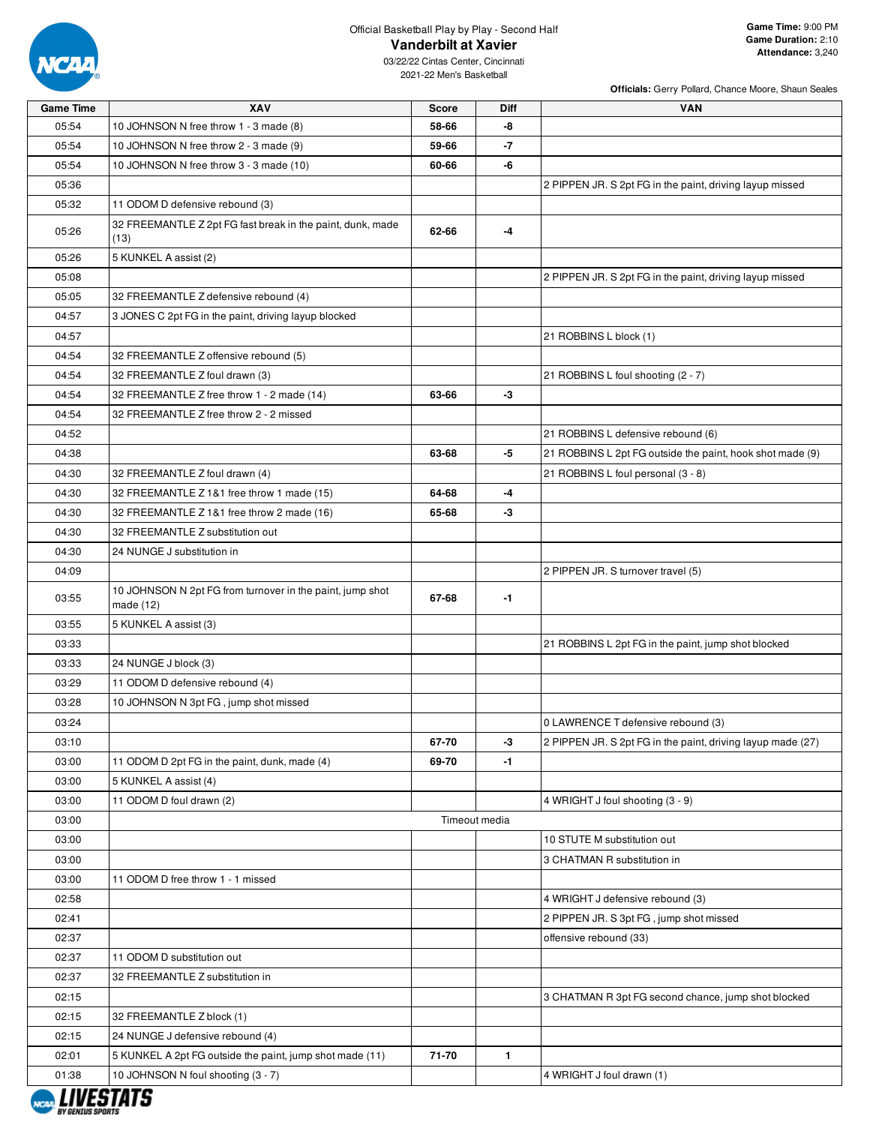

**Officials:** Gerry Pollard, Chance Moore, Shaun Seales

| <b>Game Time</b> | XAV                                                                      | <b>Score</b> | Diff          | <b>VAN</b>                                                  |
|------------------|--------------------------------------------------------------------------|--------------|---------------|-------------------------------------------------------------|
| 05:54            | 10 JOHNSON N free throw 1 - 3 made (8)                                   | 58-66        | -8            |                                                             |
| 05:54            | 10 JOHNSON N free throw 2 - 3 made (9)                                   | 59-66        | -7            |                                                             |
| 05:54            | 10 JOHNSON N free throw 3 - 3 made (10)                                  | 60-66        | -6            |                                                             |
| 05:36            |                                                                          |              |               | 2 PIPPEN JR. S 2pt FG in the paint, driving layup missed    |
| 05:32            | 11 ODOM D defensive rebound (3)                                          |              |               |                                                             |
| 05:26            | 32 FREEMANTLE Z 2pt FG fast break in the paint, dunk, made<br>(13)       | 62-66        | -4            |                                                             |
| 05:26            | 5 KUNKEL A assist (2)                                                    |              |               |                                                             |
| 05:08            |                                                                          |              |               | 2 PIPPEN JR. S 2pt FG in the paint, driving layup missed    |
| 05:05            | 32 FREEMANTLE Z defensive rebound (4)                                    |              |               |                                                             |
| 04:57            | 3 JONES C 2pt FG in the paint, driving layup blocked                     |              |               |                                                             |
| 04:57            |                                                                          |              |               | 21 ROBBINS L block (1)                                      |
| 04:54            | 32 FREEMANTLE Z offensive rebound (5)                                    |              |               |                                                             |
| 04:54            | 32 FREEMANTLE Z foul drawn (3)                                           |              |               | 21 ROBBINS L foul shooting (2 - 7)                          |
| 04:54            | 32 FREEMANTLE Z free throw 1 - 2 made (14)                               | 63-66        | -3            |                                                             |
| 04:54            | 32 FREEMANTLE Z free throw 2 - 2 missed                                  |              |               |                                                             |
| 04:52            |                                                                          |              |               | 21 ROBBINS L defensive rebound (6)                          |
| 04:38            |                                                                          | 63-68        | -5            | 21 ROBBINS L 2pt FG outside the paint, hook shot made (9)   |
| 04:30            | 32 FREEMANTLE Z foul drawn (4)                                           |              |               | 21 ROBBINS L foul personal (3 - 8)                          |
| 04:30            | 32 FREEMANTLE Z 1&1 free throw 1 made (15)                               | 64-68        | -4            |                                                             |
| 04:30            | 32 FREEMANTLE Z 1&1 free throw 2 made (16)                               | 65-68        | -3            |                                                             |
| 04:30            | 32 FREEMANTLE Z substitution out                                         |              |               |                                                             |
| 04:30            | 24 NUNGE J substitution in                                               |              |               |                                                             |
| 04:09            |                                                                          |              |               | 2 PIPPEN JR. S turnover travel (5)                          |
| 03:55            | 10 JOHNSON N 2pt FG from turnover in the paint, jump shot<br>made $(12)$ | 67-68        | $-1$          |                                                             |
| 03:55            | 5 KUNKEL A assist (3)                                                    |              |               |                                                             |
| 03:33            |                                                                          |              |               | 21 ROBBINS L 2pt FG in the paint, jump shot blocked         |
| 03:33            | 24 NUNGE J block (3)                                                     |              |               |                                                             |
| 03:29            | 11 ODOM D defensive rebound (4)                                          |              |               |                                                             |
| 03:28            | 10 JOHNSON N 3pt FG, jump shot missed                                    |              |               |                                                             |
| 03:24            |                                                                          |              |               | 0 LAWRENCE T defensive rebound (3)                          |
| 03:10            |                                                                          | 67-70        | -3            | 2 PIPPEN JR. S 2pt FG in the paint, driving layup made (27) |
| 03:00            | 11 ODOM D 2pt FG in the paint, dunk, made (4)                            | 69-70        | $-1$          |                                                             |
| 03:00            | 5 KUNKEL A assist (4)                                                    |              |               |                                                             |
| 03:00            | 11 ODOM D foul drawn (2)                                                 |              |               | 4 WRIGHT J foul shooting (3 - 9)                            |
| 03:00            |                                                                          |              | Timeout media |                                                             |
| 03:00            |                                                                          |              |               | 10 STUTE M substitution out                                 |
| 03:00            |                                                                          |              |               | 3 CHATMAN R substitution in                                 |
| 03:00            | 11 ODOM D free throw 1 - 1 missed                                        |              |               |                                                             |
| 02:58            |                                                                          |              |               | 4 WRIGHT J defensive rebound (3)                            |
| 02:41            |                                                                          |              |               | 2 PIPPEN JR. S 3pt FG, jump shot missed                     |
| 02:37            |                                                                          |              |               | offensive rebound (33)                                      |
| 02:37            | 11 ODOM D substitution out                                               |              |               |                                                             |
| 02:37            | 32 FREEMANTLE Z substitution in                                          |              |               |                                                             |
| 02:15            |                                                                          |              |               | 3 CHATMAN R 3pt FG second chance, jump shot blocked         |
| 02:15            | 32 FREEMANTLE Z block (1)                                                |              |               |                                                             |
| 02:15            | 24 NUNGE J defensive rebound (4)                                         |              |               |                                                             |
| 02:01            | 5 KUNKEL A 2pt FG outside the paint, jump shot made (11)                 | 71-70        | $\mathbf{1}$  |                                                             |
| 01:38            | 10 JOHNSON N foul shooting (3 - 7)                                       |              |               | 4 WRIGHT J foul drawn (1)                                   |

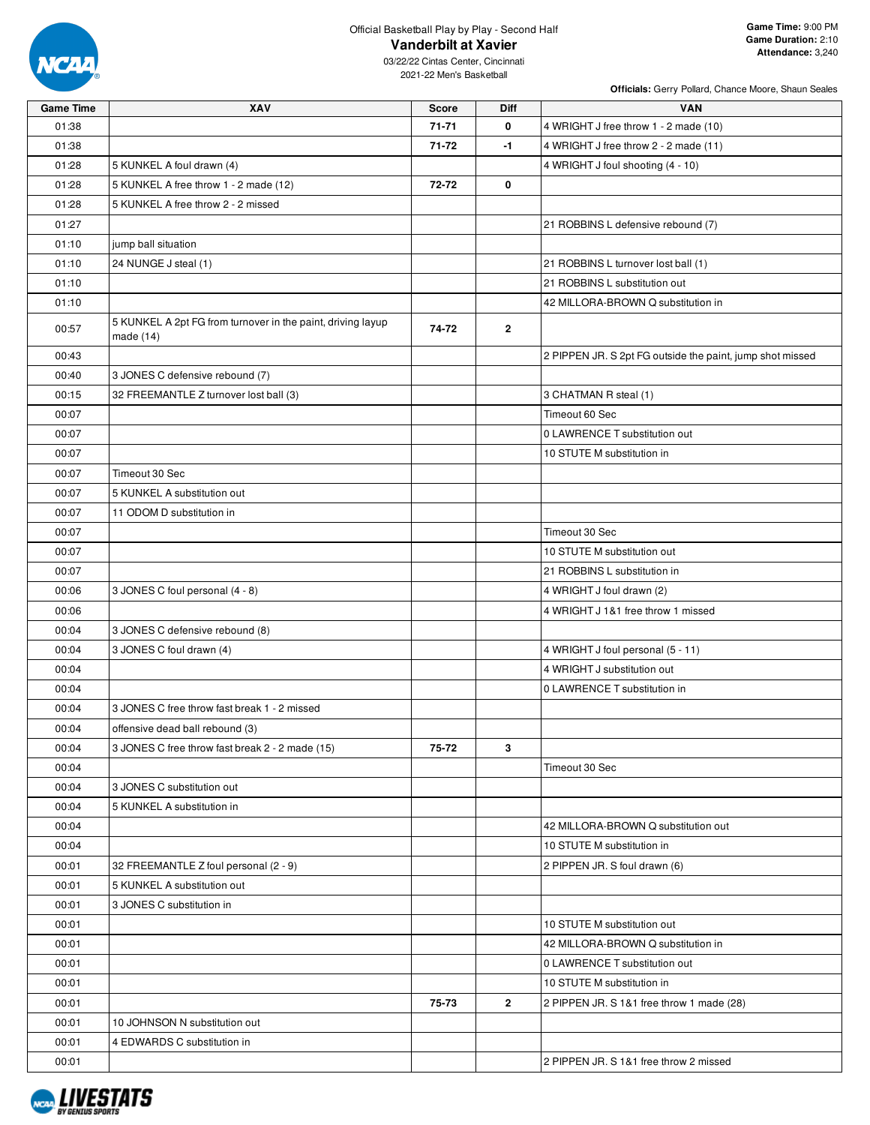

|                  | Officials: Gerry Pollard, Chance Moore, Shaun Seales                     |              |                |                                                           |  |  |  |  |  |
|------------------|--------------------------------------------------------------------------|--------------|----------------|-----------------------------------------------------------|--|--|--|--|--|
| <b>Game Time</b> | XAV                                                                      | <b>Score</b> | <b>Diff</b>    | <b>VAN</b>                                                |  |  |  |  |  |
| 01:38            |                                                                          | $71 - 71$    | 0              | 4 WRIGHT J free throw 1 - 2 made (10)                     |  |  |  |  |  |
| 01:38            |                                                                          | 71-72        | $-1$           | 4 WRIGHT J free throw 2 - 2 made (11)                     |  |  |  |  |  |
| 01:28            | 5 KUNKEL A foul drawn (4)                                                |              |                | 4 WRIGHT J foul shooting (4 - 10)                         |  |  |  |  |  |
| 01:28            | 5 KUNKEL A free throw 1 - 2 made (12)                                    | 72-72        | 0              |                                                           |  |  |  |  |  |
| 01:28            | 5 KUNKEL A free throw 2 - 2 missed                                       |              |                |                                                           |  |  |  |  |  |
| 01:27            |                                                                          |              |                | 21 ROBBINS L defensive rebound (7)                        |  |  |  |  |  |
| 01:10            | jump ball situation                                                      |              |                |                                                           |  |  |  |  |  |
| 01:10            | 24 NUNGE J steal (1)                                                     |              |                | 21 ROBBINS L turnover lost ball (1)                       |  |  |  |  |  |
| 01:10            |                                                                          |              |                | 21 ROBBINS L substitution out                             |  |  |  |  |  |
| 01:10            |                                                                          |              |                | 42 MILLORA-BROWN Q substitution in                        |  |  |  |  |  |
| 00:57            | 5 KUNKEL A 2pt FG from turnover in the paint, driving layup<br>made (14) | 74-72        | $\overline{2}$ |                                                           |  |  |  |  |  |
| 00:43            |                                                                          |              |                | 2 PIPPEN JR. S 2pt FG outside the paint, jump shot missed |  |  |  |  |  |
| 00:40            | 3 JONES C defensive rebound (7)                                          |              |                |                                                           |  |  |  |  |  |
| 00:15            | 32 FREEMANTLE Z turnover lost ball (3)                                   |              |                | 3 CHATMAN R steal (1)                                     |  |  |  |  |  |
| 00:07            |                                                                          |              |                | Timeout 60 Sec                                            |  |  |  |  |  |
| 00:07            |                                                                          |              |                | 0 LAWRENCE T substitution out                             |  |  |  |  |  |
| 00:07            |                                                                          |              |                | 10 STUTE M substitution in                                |  |  |  |  |  |
| 00:07            | Timeout 30 Sec                                                           |              |                |                                                           |  |  |  |  |  |
| 00:07            | 5 KUNKEL A substitution out                                              |              |                |                                                           |  |  |  |  |  |
| 00:07            | 11 ODOM D substitution in                                                |              |                |                                                           |  |  |  |  |  |
| 00:07            |                                                                          |              |                | Timeout 30 Sec                                            |  |  |  |  |  |
| 00:07            |                                                                          |              |                | 10 STUTE M substitution out                               |  |  |  |  |  |
| 00:07            |                                                                          |              |                | 21 ROBBINS L substitution in                              |  |  |  |  |  |
| 00:06            | 3 JONES C foul personal (4 - 8)                                          |              |                | 4 WRIGHT J foul drawn (2)                                 |  |  |  |  |  |
| 00:06            |                                                                          |              |                | 4 WRIGHT J 1&1 free throw 1 missed                        |  |  |  |  |  |
| 00:04            | 3 JONES C defensive rebound (8)                                          |              |                |                                                           |  |  |  |  |  |
| 00:04            | 3 JONES C foul drawn (4)                                                 |              |                | 4 WRIGHT J foul personal (5 - 11)                         |  |  |  |  |  |
| 00:04            |                                                                          |              |                | 4 WRIGHT J substitution out                               |  |  |  |  |  |
| 00:04            |                                                                          |              |                | 0 LAWRENCE T substitution in                              |  |  |  |  |  |
| 00:04            | 3 JONES C free throw fast break 1 - 2 missed                             |              |                |                                                           |  |  |  |  |  |
| 00:04            | offensive dead ball rebound (3)                                          |              |                |                                                           |  |  |  |  |  |
| 00:04            | 3 JONES C free throw fast break 2 - 2 made (15)                          | 75-72        | 3              |                                                           |  |  |  |  |  |
| 00:04            |                                                                          |              |                | Timeout 30 Sec                                            |  |  |  |  |  |
| 00:04            | 3 JONES C substitution out                                               |              |                |                                                           |  |  |  |  |  |
| 00:04            | 5 KUNKEL A substitution in                                               |              |                |                                                           |  |  |  |  |  |
| 00:04            |                                                                          |              |                | 42 MILLORA-BROWN Q substitution out                       |  |  |  |  |  |
| 00:04            |                                                                          |              |                | 10 STUTE M substitution in                                |  |  |  |  |  |
| 00:01            | 32 FREEMANTLE Z foul personal (2 - 9)                                    |              |                | 2 PIPPEN JR. S foul drawn (6)                             |  |  |  |  |  |
| 00:01            | 5 KUNKEL A substitution out                                              |              |                |                                                           |  |  |  |  |  |
| 00:01            | 3 JONES C substitution in                                                |              |                |                                                           |  |  |  |  |  |
| 00:01            |                                                                          |              |                | 10 STUTE M substitution out                               |  |  |  |  |  |
| 00:01            |                                                                          |              |                | 42 MILLORA-BROWN Q substitution in                        |  |  |  |  |  |
| 00:01            |                                                                          |              |                | 0 LAWRENCE T substitution out                             |  |  |  |  |  |
| 00:01            |                                                                          |              |                | 10 STUTE M substitution in                                |  |  |  |  |  |
| 00:01            |                                                                          | 75-73        | $\overline{2}$ | 2 PIPPEN JR. S 1&1 free throw 1 made (28)                 |  |  |  |  |  |
| 00:01            | 10 JOHNSON N substitution out                                            |              |                |                                                           |  |  |  |  |  |
| 00:01            | 4 EDWARDS C substitution in                                              |              |                |                                                           |  |  |  |  |  |
| 00:01            |                                                                          |              |                | 2 PIPPEN JR. S 1&1 free throw 2 missed                    |  |  |  |  |  |

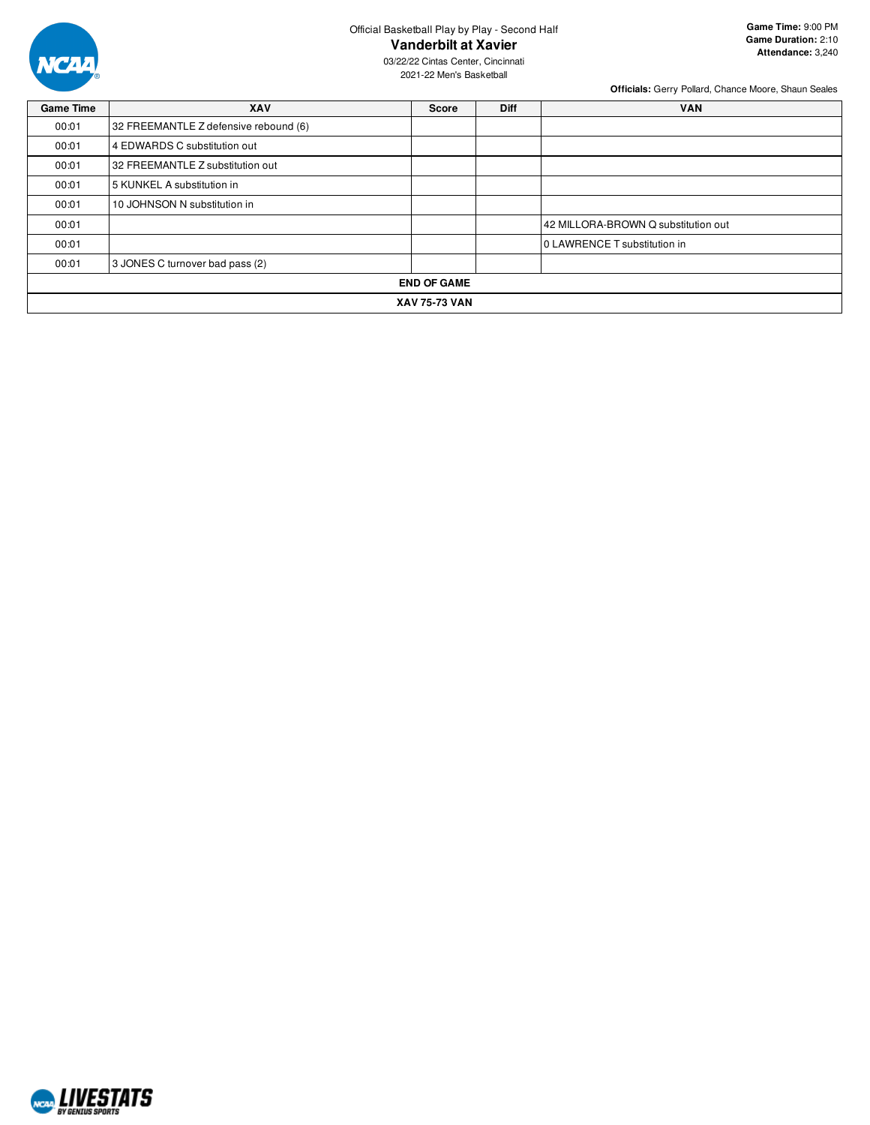

03/22/22 Cintas Center, Cincinnati 2021-22 Men's Basketball

| <b>Game Time</b>     | <b>XAV</b>                            | <b>Score</b> | <b>Diff</b> | <b>VAN</b>                          |  |  |  |
|----------------------|---------------------------------------|--------------|-------------|-------------------------------------|--|--|--|
| 00:01                | 32 FREEMANTLE Z defensive rebound (6) |              |             |                                     |  |  |  |
| 00:01                | 4 EDWARDS C substitution out          |              |             |                                     |  |  |  |
| 00:01                | 32 FREEMANTLE Z substitution out      |              |             |                                     |  |  |  |
| 00:01                | 5 KUNKEL A substitution in            |              |             |                                     |  |  |  |
| 00:01                | 10 JOHNSON N substitution in          |              |             |                                     |  |  |  |
| 00:01                |                                       |              |             | 42 MILLORA-BROWN Q substitution out |  |  |  |
| 00:01                |                                       |              |             | 0 LAWRENCE T substitution in        |  |  |  |
| 00:01                | 3 JONES C turnover bad pass (2)       |              |             |                                     |  |  |  |
| <b>END OF GAME</b>   |                                       |              |             |                                     |  |  |  |
| <b>XAV 75-73 VAN</b> |                                       |              |             |                                     |  |  |  |

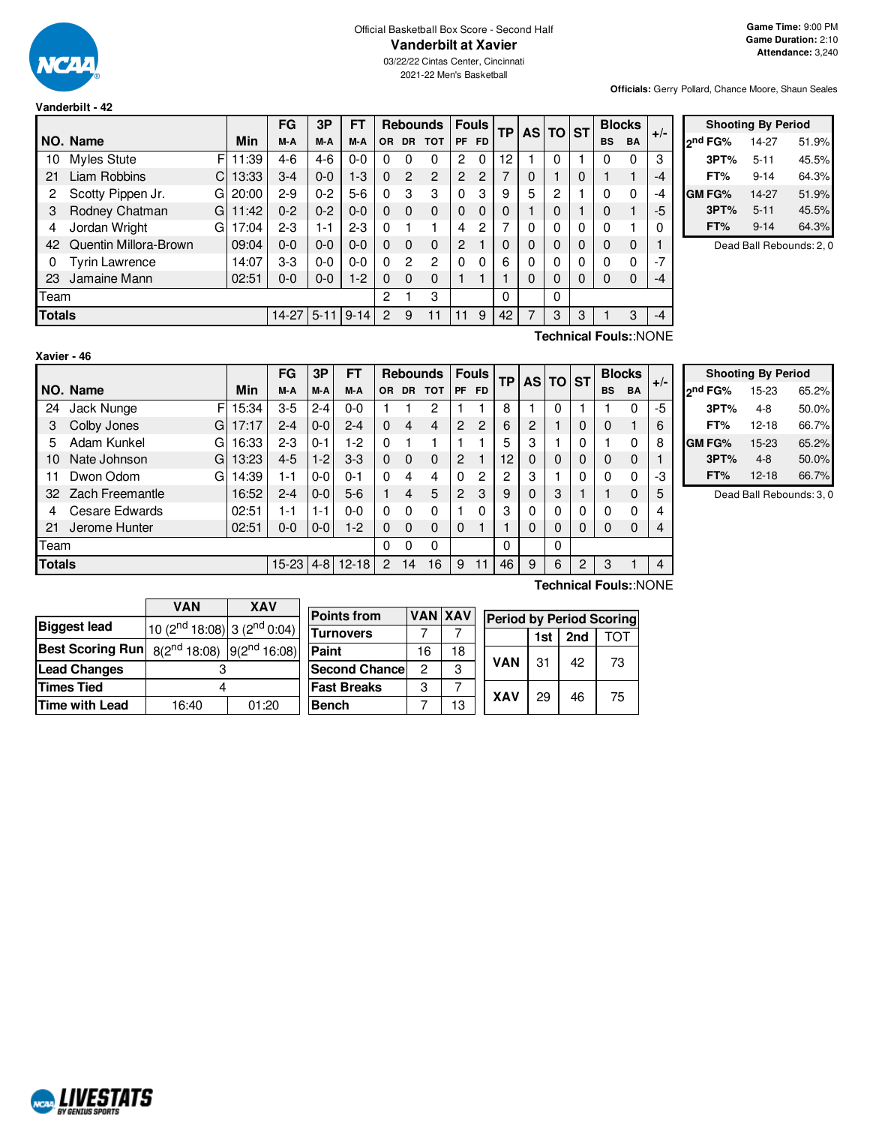

03/22/22 Cintas Center, Cincinnati 2021-22 Men's Basketball

**Officials:** Gerry Pollard, Chance Moore, Shaun Seales

|               |                           |       | FG      | 3P       | FT       |           |                | <b>Rebounds</b> | <b>Fouls</b> |           | <b>TP</b> |   | AS TO ST |          |           | <b>Blocks</b> | $+/-$    |
|---------------|---------------------------|-------|---------|----------|----------|-----------|----------------|-----------------|--------------|-----------|-----------|---|----------|----------|-----------|---------------|----------|
|               | NO. Name                  | Min   | M-A     | M-A      | M-A      | <b>OR</b> | <b>DR</b>      | <b>TOT</b>      | <b>PF</b>    | <b>FD</b> |           |   |          |          | <b>BS</b> | <b>BA</b>     |          |
| 10            | Myles Stute<br>F          | 11:39 | 4-6     | $4-6$    | $0 - 0$  |           | 0              | 0               | 2            | 0         | 12        |   | 0        |          | 0         | 0             | 3        |
| 21            | <b>Liam Robbins</b><br>Cı | 13:33 | 3-4     | $0 - 0$  | $1-3$    | 0         | $\overline{2}$ | $\overline{2}$  | 2            | 2         | 7         | 0 |          | 0        |           |               | $-4$     |
| 2             | Scotty Pippen Jr.<br>G    | 20:00 | 2-9     | $0 - 2$  | $5-6$    | 0         | 3              | 3               | $\Omega$     | 3         | 9         | 5 | 2        |          | 0         | 0             | $-4$     |
|               | Rodney Chatman<br>G       | 11:42 | $0 - 2$ | $0 - 2$  | $0-0$    | 0         | $\Omega$       | $\Omega$        | 0            | 0         | 0         |   | 0        |          | $\Omega$  |               | -5       |
| 4             | Jordan Wright<br>G        | 17:04 | 2-3     | 1-1      | $2 - 3$  | $\Omega$  |                |                 | 4            | 2         |           | 0 | 0        | 0        | $\Omega$  |               | $\Omega$ |
| 42            | Quentin Millora-Brown     | 09:04 | 0-0     | $0 - 0$  | $0-0$    | 0         | $\Omega$       | $\Omega$        | 2            |           | 0         | 0 | 0        | $\Omega$ | $\Omega$  | $\Omega$      |          |
| 0             | <b>Tyrin Lawrence</b>     | 14:07 | $3 - 3$ | $0 - 0$  | $0-0$    | 0         | 2              | $\mathcal{P}$   | 0            | 0         | 6         | 0 | 0        | 0        | $\Omega$  | $\Omega$      | $-7$     |
| 23            | Jamaine Mann              | 02:51 | 0-0     | $0-0$    | $1-2$    | 0         | $\Omega$       | 0               |              |           |           | 0 | 0        | 0        | $\Omega$  | 0             | $-4$     |
| Team          |                           |       |         |          |          | 2         |                | 3               |              |           | 0         |   | 0        |          |           |               |          |
| <b>Totals</b> |                           |       | $14-27$ | $5 - 11$ | $9 - 14$ | 2         | 9              | 11              | 11           | 9         | 42        |   | 3        | 3        |           | 3             | $-4$     |

|         | <b>Shooting By Period</b> |       |  |  |  |  |  |  |  |  |  |
|---------|---------------------------|-------|--|--|--|--|--|--|--|--|--|
| ond FG% | 14-27                     | 51.9% |  |  |  |  |  |  |  |  |  |
| 3PT%    | $5 - 11$                  | 45.5% |  |  |  |  |  |  |  |  |  |
| FT%     | $9 - 14$                  | 64.3% |  |  |  |  |  |  |  |  |  |
| GM FG%  | 14-27                     | 51.9% |  |  |  |  |  |  |  |  |  |
| 3PT%    | $5 - 11$                  | 45.5% |  |  |  |  |  |  |  |  |  |
| FT%     | $9 - 14$                  | 64.3% |  |  |  |  |  |  |  |  |  |

Dead Ball Rebounds: 2, 0

| Xavier - 46 |  |  |
|-------------|--|--|
|             |  |  |

**Technical Fouls:**:NONE

|               |                        |       | FG          | 3P      | FT        |                |          | <b>Rebounds</b> |                | Fouls          |    | AS TO ST |   |   | <b>Blocks</b> |             | $+/-$ |
|---------------|------------------------|-------|-------------|---------|-----------|----------------|----------|-----------------|----------------|----------------|----|----------|---|---|---------------|-------------|-------|
|               | NO. Name               | Min   | M-A         | M-A     | M-A       | OR.            |          | DR TOT          |                | PF FD          | TP |          |   |   | <b>BS</b>     | <b>BA</b>   |       |
| 24            | Jack Nunge<br>F        | 15:34 | 3-5         | $2 - 4$ | $0-0$     |                |          | 2               |                |                | 8  |          | 0 |   |               | 0           | -5    |
| 3             | Colby Jones<br>G       | 17:17 | $2 - 4$     | $0 - 0$ | $2 - 4$   | 0              | 4        | 4               | $\overline{2}$ | $\overline{c}$ | 6  | 2        |   | 0 |               |             | 6     |
| 5             | Adam Kunkel<br>G       | 16:33 | $2 - 3$     | $0 - 1$ | 1-2       | 0              |          |                 |                |                | 5  | 3        |   |   |               | 0           | 8     |
| 10            | Nate Johnson<br>G      | 13:23 | $4 - 5$     | $1-2$   | $3-3$     | 0              | $\Omega$ | 0               | 2              |                | 12 | 0        | 0 | 0 |               | $\mathbf 0$ |       |
| 11            | Dwon Odom<br>G         | 14:39 | 1-1         | $0 - 0$ | $0 - 1$   | 0              | 4        | 4               | $\Omega$       | 2              | 2  | 3        |   | 0 |               | $\Omega$    | -3    |
| 32            | <b>Zach Freemantle</b> | 16:52 | $2 - 4$     | $0 - 0$ | $5-6$     |                | 4        | 5               | 2              | 3              | 9  | 0        | 3 |   |               | $\Omega$    | 5     |
|               | Cesare Edwards         | 02:51 | 1-1         | 1-1     | $0 - 0$   | 0              | 0        | 0               |                | 0              | З  | 0        | 0 | 0 |               | $\Omega$    |       |
| 21            | Jerome Hunter          | 02:51 | 0-0         | $0-0$   | $1-2$     | 0              | 0        | $\mathbf 0$     | $\mathbf 0$    |                |    | 0        | 0 | 0 |               | $\mathbf 0$ |       |
| Team          |                        |       |             |         | 0         | 0              | 0        |                 |                | 0              |    | 0        |   |   |               |             |       |
| <b>Totals</b> |                        |       | 15-23   4-8 |         | $12 - 18$ | $\overline{2}$ | 14       | 16              | 9              | 11             | 46 | 9        | 6 | 2 | 3             |             |       |

|                     | <b>Shooting By Period</b> |       |
|---------------------|---------------------------|-------|
| 2 <sup>nd</sup> FG% | 15-23                     | 65.2% |
| 3PT%                | $4 - 8$                   | 50.0% |
| FT%                 | $12 - 18$                 | 66.7% |
| GM FG%              | 15-23                     | 65.2% |
| 3PT%                | $4 - 8$                   | 50.0% |
| FT%                 | $12 - 18$                 | 66.7% |

Dead Ball Rebounds: 3, 0

|                         | VAN                                        | <b>XAV</b> |        |  |  |  |
|-------------------------|--------------------------------------------|------------|--------|--|--|--|
| <b>Biggest lead</b>     | $10(2nd 18:08) 3(2nd 0:04)$                |            | P<br>т |  |  |  |
| <b>Best Scoring Run</b> | $8(2^{nd} 18:08)$ 9(2 <sup>nd</sup> 16:08) |            | P      |  |  |  |
| <b>Lead Changes</b>     |                                            |            | s      |  |  |  |
| <b>Times Tied</b>       |                                            |            | F      |  |  |  |
| <b>Time with Lead</b>   | 16:40                                      | 01:20      | в      |  |  |  |

**NORD LIVESTATS** 

| <b>Points from</b>    |    | <b>VAN XAV</b> | <b>Period by Period Scoring</b> |    |    |    |  |  |  |  |  |
|-----------------------|----|----------------|---------------------------------|----|----|----|--|--|--|--|--|
| <b>Turnovers</b>      |    |                | ГОТ<br>2nd<br>1st               |    |    |    |  |  |  |  |  |
| Paint                 | 16 | 18             |                                 |    |    |    |  |  |  |  |  |
| <b>Second Chancel</b> | 2  | 3              | <b>VAN</b>                      | 31 | 42 | 73 |  |  |  |  |  |
| <b>Fast Breaks</b>    | 3  |                | <b>XAV</b>                      |    |    |    |  |  |  |  |  |
| <b>Bench</b>          |    | 13             |                                 | 29 | 46 | 75 |  |  |  |  |  |

**Technical Fouls:**:NONE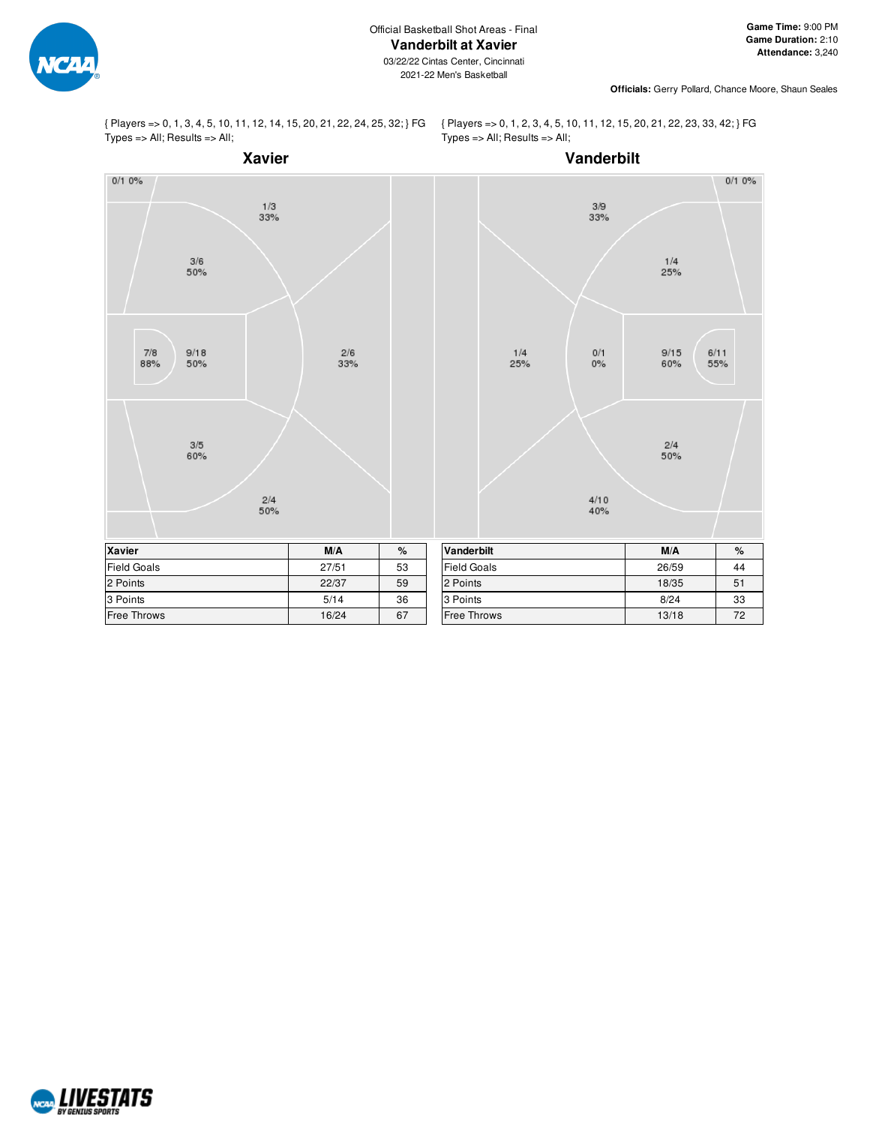

**Officials:** Gerry Pollard, Chance Moore, Shaun Seales

{ Players => 0, 1, 3, 4, 5, 10, 11, 12, 14, 15, 20, 21, 22, 24, 25, 32; } FG Types => All; Results => All;

{ Players => 0, 1, 2, 3, 4, 5, 10, 11, 12, 15, 20, 21, 22, 23, 33, 42; } FG Types => All; Results => All;



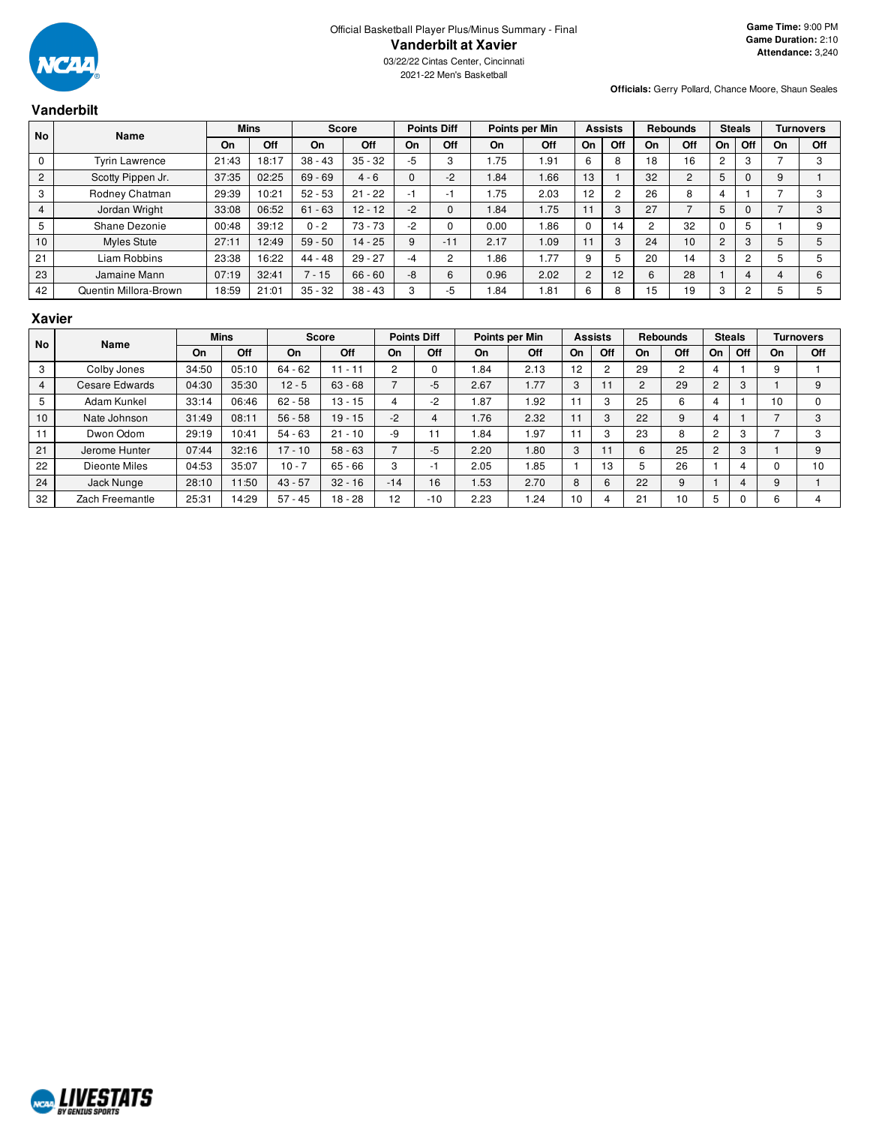

2021-22 Men's Basketball

**Officials:** Gerry Pollard, Chance Moore, Shaun Seales

## **Vanderbilt**

| <b>No</b>      |                       | Name  |       | <b>Mins</b> |           | <b>Points Diff</b><br>Points per Min<br><b>Score</b> |       | <b>Assists</b><br><b>Rebounds</b> |      | <b>Steals</b>  |     | <b>Turnovers</b> |        |                       |                |    |            |
|----------------|-----------------------|-------|-------|-------------|-----------|------------------------------------------------------|-------|-----------------------------------|------|----------------|-----|------------------|--------|-----------------------|----------------|----|------------|
|                |                       | On    | Off   | On          | Off       | On                                                   | Off   | On                                | Off  | On             | Off | On               | Off    | <b>On</b>             | Off            | On | <b>Off</b> |
| $\mathbf 0$    | <b>Tyrin Lawrence</b> | 21:43 | 18:17 | $38 - 43$   | $35 - 32$ | -5                                                   | 3     | 1.75                              | l 91 | 6              | 8   | 18               | 16     | $\mathbf{2}^{\prime}$ | 3              |    |            |
| $\overline{2}$ | Scotty Pippen Jr.     | 37:35 | 02:25 | $69 - 69$   | $4 - 6$   |                                                      | $-2$  | 1.84                              | 1.66 | 13             |     | 32               | $\sim$ | 5                     |                | 9  |            |
| 3              | Rodney Chatman        | 29:39 | 10:21 | $52 - 53$   | $21 - 22$ |                                                      | ٠I    | 1.75                              | 2.03 | 12             | 2   | 26               | 8      |                       |                |    |            |
| $\overline{4}$ | Jordan Wright         | 33:08 | 06:52 | $61 - 63$   | $12 - 12$ | $-2$                                                 |       | .84                               | 1.75 |                | 3   | 27               |        | 5                     | $\mathbf 0$    |    |            |
| 5              | Shane Dezonie         | 00:48 | 39:12 | $0 - 2$     | $73 - 73$ | -2                                                   |       | 0.00                              | 1.86 | 0              | 14  |                  | 32     |                       | 5              |    |            |
| 10             | Myles Stute           | 27:11 | 12:49 | $59 - 50$   | $14 - 25$ | 9                                                    | $-11$ | 2.17                              | 1.09 |                | 3   | 24               | 10     | $\overline{2}$        | 3              | 5  |            |
| 21             | Liam Robbins          | 23:38 | 16:22 | $44 - 48$   | $29 - 27$ | $-4$                                                 | ົ     | .86                               | 1.77 | 9              | 5   | 20               | 14     | 3                     | $\overline{2}$ | 5  |            |
| 23             | Jamaine Mann          | 07:19 | 32:41 | $7 - 15$    | $66 - 60$ | -8                                                   | 6     | 0.96                              | 2.02 | $\overline{2}$ | 12  | b                | 28     |                       | 4              |    |            |
| 42             | Quentin Millora-Brown | 18:59 | 21:01 | $35 - 32$   | $38 - 43$ | 3                                                    | -5    | . 84                              | 1.81 | 6              | 8   | 15               | 19     | 3                     | $\overline{2}$ |    |            |

#### **Xavier**

| <b>No</b>      | <b>Name</b>     |       | <b>Mins</b> |           | <b>Score</b> | <b>Points Diff</b><br>Points per Min |                          | <b>Assists</b> |       | <b>Rebounds</b> |         | <b>Steals</b>  |     | <b>Turnovers</b> |     |    |            |
|----------------|-----------------|-------|-------------|-----------|--------------|--------------------------------------|--------------------------|----------------|-------|-----------------|---------|----------------|-----|------------------|-----|----|------------|
|                |                 | On    | Off         | On        | Off          | On                                   | Off                      | On             | Off   | On              | Off     | On             | Off | On               | Off | On | <b>Off</b> |
| 3              | Colby Jones     | 34:50 | 05:10       | $64 - 62$ | $11 - 11$    | 2                                    |                          | 1.84           | 2.13  | 12              |         | 29             | 2   |                  |     | 9  |            |
| $\overline{4}$ | Cesare Edwards  | 04:30 | 35:30       | $12 - 5$  | $63 - 68$    |                                      | $-5$                     | 2.67           | 1.77  | 3               |         | $\overline{c}$ | 29  | $\overline{2}$   | 3   |    |            |
| 5              | Adam Kunkel     | 33:14 | 06:46       | $62 - 58$ | $13 - 15$    | 4                                    | -2                       | 1.87           | 1.92  | 11              | 3       | 25             | 6   |                  |     | 10 |            |
| 10             | Nate Johnson    | 31:49 | 08:11       | $56 - 58$ | $19 - 15$    | $-2$                                 | 4                        | 1.76           | 2.32  | 11              | -1      | 22             | 9   |                  |     |    | 3          |
| 11             | Dwon Odom       | 29:19 | 10:41       | $54 - 63$ | $21 - 10$    | -9                                   | 11                       | 1.84           | 97. ا | 11              | c<br>л. | 23             | 8   | $\sim$           | J.  |    | 3          |
| 21             | Jerome Hunter   | 07:44 | 32:16       | $17 - 10$ | $58 - 63$    |                                      | -5                       | 2.20           | 1.80  | 3               |         | 6              | 25  | $\overline{2}$   |     |    | 9          |
| 22             | Dieonte Miles   | 04:53 | 35:07       | $10 - 7$  | $65 - 66$    | 3                                    | $\overline{\phantom{0}}$ | 2.05           | 1.85  |                 | 13      | 5              | 26  |                  |     |    | 10         |
| 24             | Jack Nunge      | 28:10 | 11:50       | $43 - 57$ | $32 - 16$    | $-14$                                | 16                       | 1.53           | 2.70  | 8               | 6       | 22             | 9   |                  |     | 9  |            |
| 32             | Zach Freemantle | 25:31 | 14:29       | $57 - 45$ | $18 - 28$    | 12                                   | $-10$                    | 2.23           | .24   | 10              |         | 21             | 10  |                  |     | հ  |            |

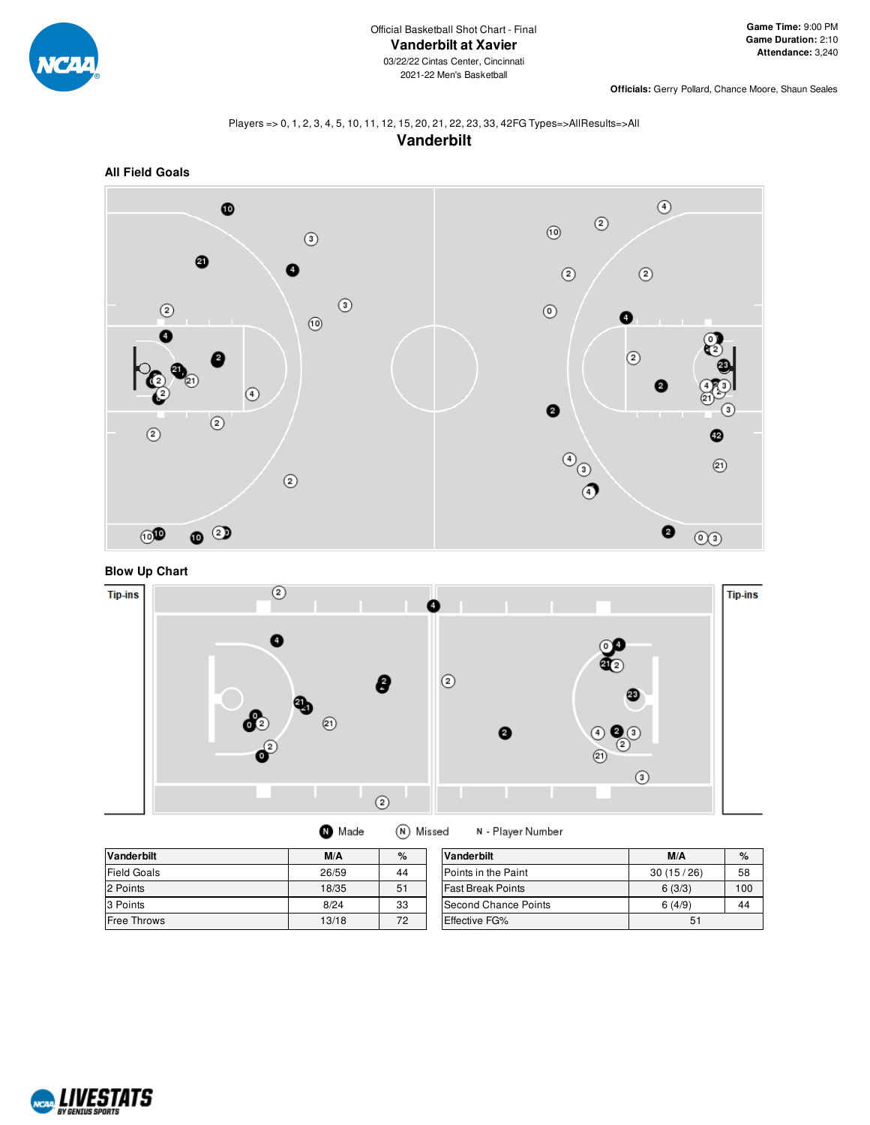

**Officials:** Gerry Pollard, Chance Moore, Shaun Seales

## Players => 0, 1, 2, 3, 4, 5, 10, 11, 12, 15, 20, 21, 22, 23, 33, 42FG Types=>AllResults=>All **Vanderbilt**



**Blow Up Chart**



|  | <b>O</b> Made | (N |
|--|---------------|----|
|--|---------------|----|

N - Player Number

| <b>Vanderbilt</b>  | M/A   | %  | Vanderbilt                  | M/A       | $\%$ |
|--------------------|-------|----|-----------------------------|-----------|------|
| <b>Field Goals</b> | 26/59 | 44 | Points in the Paint         | 30(15/26) | 58   |
| 2 Points           | 18/35 | 51 | <b>Fast Break Points</b>    | 6(3/3)    | 100  |
| 3 Points           | 8/24  | 33 | <b>Second Chance Points</b> | 6(4/9)    | 44   |
| <b>Free Throws</b> | 13/18 | 72 | <b>Effective FG%</b>        | 51        |      |

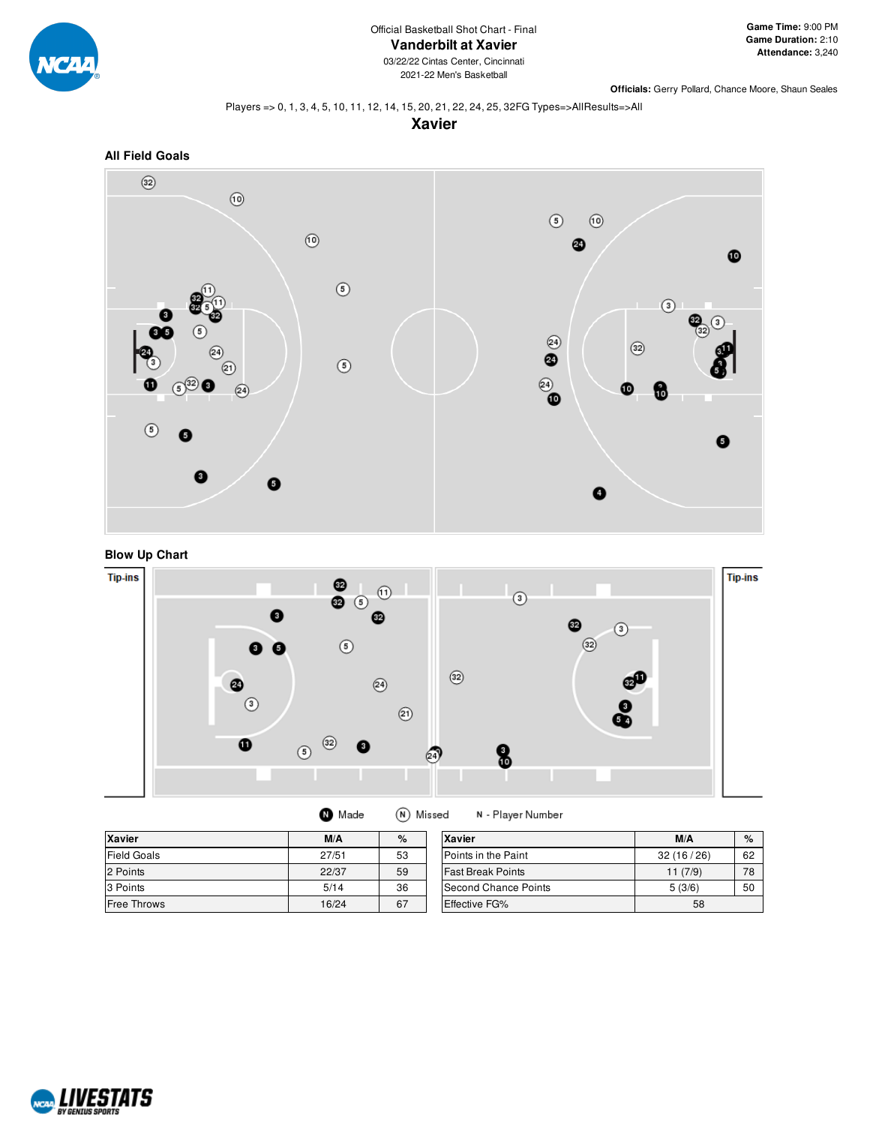

2021-22 Men's Basketball

**Officials:** Gerry Pollard, Chance Moore, Shaun Seales

Players => 0, 1, 3, 4, 5, 10, 11, 12, 14, 15, 20, 21, 22, 24, 25, 32FG Types=>AllResults=>All









(N) Missed **O** Made N - Player Number

| <b>Xavier</b>      | M/A   | $\%$ | Xavier                   | M/A       | $\%$ |
|--------------------|-------|------|--------------------------|-----------|------|
| <b>Field Goals</b> | 27/51 | 53   | Points in the Paint      | 32(16/26) | 62   |
| 2 Points           | 22/37 | 59   | <b>Fast Break Points</b> | 11(7/9)   | 78   |
| 3 Points           | 5/14  | 36   | Second Chance Points     | 5(3/6)    | 50   |
| <b>Free Throws</b> | 16/24 | 67   | <b>Effective FG%</b>     | 58        |      |

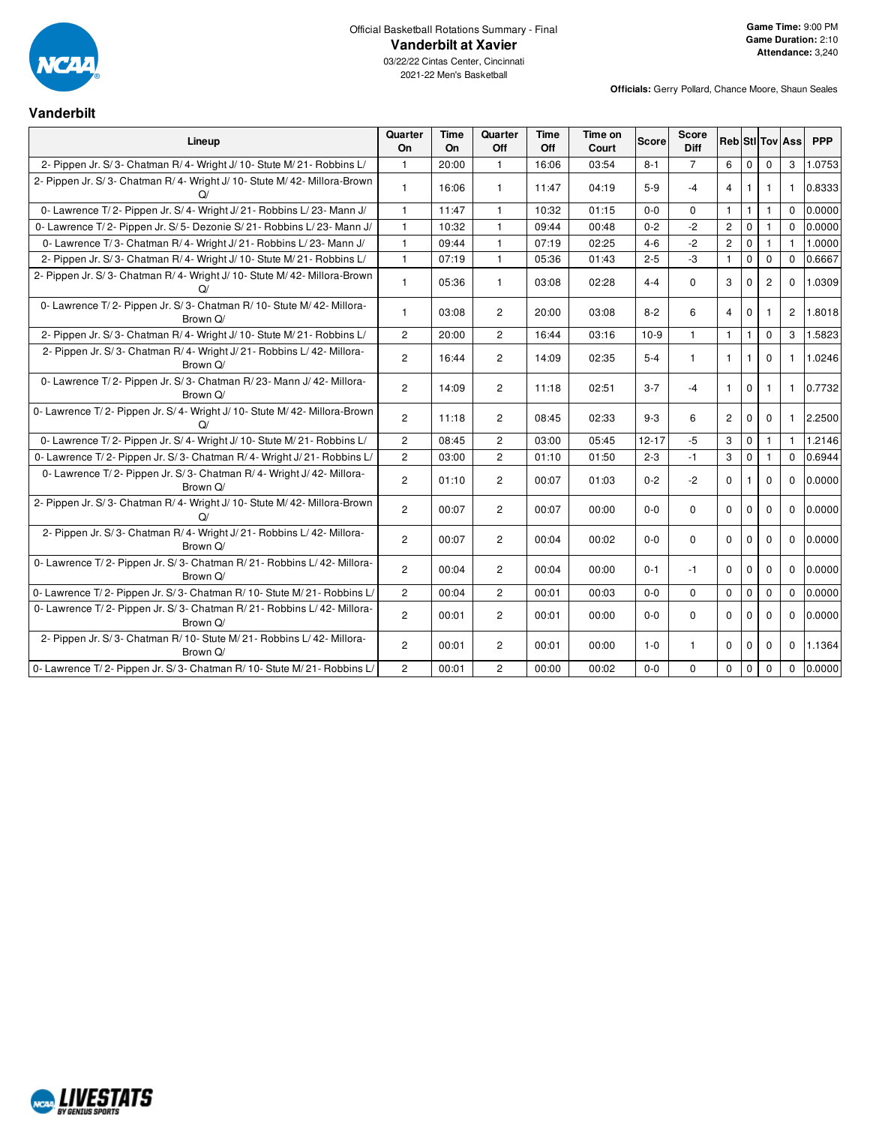

# Official Basketball Rotations Summary - Final **Vanderbilt at Xavier**

03/22/22 Cintas Center, Cincinnati 2021-22 Men's Basketball

## **Vanderbilt**

|                                                                                       | Quarter        | <b>Time</b> | Quarter        | <b>Time</b> | Time on |              | <b>Score</b>   |                |              |                |                        |            |
|---------------------------------------------------------------------------------------|----------------|-------------|----------------|-------------|---------|--------------|----------------|----------------|--------------|----------------|------------------------|------------|
| Lineup                                                                                | On             | On          | Off            | Off         | Court   | <b>Score</b> | Diff           |                |              |                | <b>Reb Sti Tov Ass</b> | <b>PPP</b> |
| 2- Pippen Jr. S/3- Chatman R/4- Wright J/10- Stute M/21- Robbins L/                   | $\mathbf{1}$   | 20:00       | $\mathbf{1}$   | 16:06       | 03:54   | $8 - 1$      | $\overline{7}$ | 6              | $\mathbf{0}$ | $\mathbf 0$    | 3                      | 1.0753     |
| 2- Pippen Jr. S/3- Chatman R/4- Wright J/10- Stute M/42- Millora-Brown<br>$\Omega$    | $\mathbf{1}$   | 16:06       | $\mathbf{1}$   | 11:47       | 04:19   | $5-9$        | $-4$           | 4              | 1            | 1              | $\mathbf{1}$           | 0.8333     |
| 0- Lawrence T/2- Pippen Jr. S/4- Wright J/21- Robbins L/23- Mann J/                   | $\mathbf{1}$   | 11:47       | $\mathbf{1}$   | 10:32       | 01:15   | $0 - 0$      | 0              | $\mathbf{1}$   | $\mathbf{1}$ | $\mathbf{1}$   | $\Omega$               | 0.0000     |
| 0- Lawrence T/2- Pippen Jr. S/5- Dezonie S/21- Robbins L/23- Mann J/                  | $\mathbf{1}$   | 10:32       | $\mathbf{1}$   | 09:44       | 00:48   | $0 - 2$      | $-2$           | $\overline{c}$ | $\mathbf 0$  | $\mathbf{1}$   | $\Omega$               | 0.0000     |
| 0- Lawrence T/3- Chatman R/4- Wright J/21- Robbins L/23- Mann J/                      | $\mathbf{1}$   | 09:44       | $\mathbf{1}$   | 07:19       | 02:25   | $4 - 6$      | $-2$           | $\overline{c}$ | $\Omega$     | $\mathbf{1}$   | $\mathbf{1}$           | 1.0000     |
| 2- Pippen Jr. S/3- Chatman R/4- Wright J/10- Stute M/21- Robbins L/                   | $\mathbf{1}$   | 07:19       | $\mathbf{1}$   | 05:36       | 01:43   | $2 - 5$      | $-3$           | $\mathbf{1}$   | $\mathbf 0$  | $\mathbf 0$    | $\Omega$               | 0.6667     |
| 2- Pippen Jr. S/3- Chatman R/4- Wright J/10- Stute M/42- Millora-Brown<br>$\Omega$    | $\mathbf{1}$   | 05:36       | $\mathbf{1}$   | 03:08       | 02:28   | $4 - 4$      | $\mathbf 0$    | 3              | $\mathbf 0$  | $\overline{2}$ | $\Omega$               | 1.0309     |
| 0- Lawrence T/2- Pippen Jr. S/3- Chatman R/10- Stute M/42- Millora-<br>Brown Q/       | $\mathbf{1}$   | 03:08       | $\overline{2}$ | 20:00       | 03:08   | $8 - 2$      | 6              | $\overline{4}$ | $\mathbf 0$  | $\mathbf{1}$   | $\overline{c}$         | 1.8018     |
| 2- Pippen Jr. S/3- Chatman R/4- Wright J/10- Stute M/21- Robbins L/                   | $\overline{2}$ | 20:00       | $\overline{2}$ | 16:44       | 03:16   | $10-9$       | $\mathbf{1}$   | $\mathbf{1}$   | $\mathbf{1}$ | $\mathbf 0$    | 3                      | 1.5823     |
| 2- Pippen Jr. S/3- Chatman R/4- Wright J/21- Robbins L/42- Millora-<br>Brown Q/       | $\mathbf{2}$   | 16:44       | $\overline{2}$ | 14:09       | 02:35   | $5 - 4$      | $\mathbf{1}$   | $\mathbf{1}$   | $\mathbf{1}$ | $\mathbf 0$    | $\mathbf{1}$           | 1.0246     |
| 0- Lawrence T/2- Pippen Jr. S/3- Chatman R/23- Mann J/42- Millora-<br>Brown Q/        | $\overline{2}$ | 14:09       | $\overline{2}$ | 11:18       | 02:51   | $3 - 7$      | $-4$           | $\mathbf{1}$   | $\mathbf 0$  | $\mathbf{1}$   | $\mathbf{1}$           | 0.7732     |
| 0- Lawrence T/2- Pippen Jr. S/4- Wright J/ 10- Stute M/ 42- Millora-Brown<br>$\Omega$ | $\overline{2}$ | 11:18       | $\overline{2}$ | 08:45       | 02:33   | $9 - 3$      | 6              | $\overline{2}$ | $\Omega$     | $\Omega$       | $\mathbf{1}$           | 2.2500     |
| 0- Lawrence T/2- Pippen Jr. S/4- Wright J/10- Stute M/21- Robbins L/                  | $\overline{2}$ | 08:45       | $\overline{2}$ | 03:00       | 05:45   | $12 - 17$    | $-5$           | 3              | $\mathbf 0$  | $\mathbf{1}$   | $\mathbf{1}$           | 1.2146     |
| 0- Lawrence T/2- Pippen Jr. S/3- Chatman R/4- Wright J/21- Robbins L/                 | 2              | 03:00       | $\overline{c}$ | 01:10       | 01:50   | $2 - 3$      | $-1$           | 3              | $\mathbf 0$  | 1              | $\Omega$               | 0.6944     |
| 0- Lawrence T/2- Pippen Jr. S/3- Chatman R/4- Wright J/42- Millora-<br>Brown Q/       | $\overline{2}$ | 01:10       | $\overline{2}$ | 00:07       | 01:03   | $0 - 2$      | $-2$           | $\Omega$       | $\mathbf{1}$ | $\mathbf 0$    | $\mathbf 0$            | 0.0000     |
| 2- Pippen Jr. S/3- Chatman R/4- Wright J/10- Stute M/42- Millora-Brown<br>$\Omega$    | $\overline{2}$ | 00:07       | $\overline{2}$ | 00:07       | 00:00   | $0 - 0$      | $\Omega$       | $\Omega$       | $\Omega$     | $\Omega$       | $\Omega$               | 0.0000     |
| 2- Pippen Jr. S/3- Chatman R/4- Wright J/21- Robbins L/42- Millora-<br>Brown Q/       | $\overline{2}$ | 00:07       | $\overline{2}$ | 00:04       | 00:02   | $0 - 0$      | $\Omega$       | $\Omega$       | $\Omega$     | $\Omega$       | $\Omega$               | 0.0000     |
| 0- Lawrence T/2- Pippen Jr. S/3- Chatman R/21- Robbins L/42- Millora-<br>Brown Q/     | $\overline{2}$ | 00:04       | $\overline{2}$ | 00:04       | 00:00   | $0 - 1$      | $-1$           | $\Omega$       | $\mathbf 0$  | $\Omega$       | $\Omega$               | 0.0000     |
| 0- Lawrence T/2- Pippen Jr. S/3- Chatman R/10- Stute M/21- Robbins L/                 | $\overline{2}$ | 00:04       | $\overline{2}$ | 00:01       | 00:03   | $0 - 0$      | $\Omega$       | $\Omega$       | $\mathbf 0$  | $\mathbf 0$    | $\Omega$               | 0.0000     |
| 0- Lawrence T/2- Pippen Jr. S/3- Chatman R/21- Robbins L/42- Millora-<br>Brown Q/     | $\mathbf{2}$   | 00:01       | $\overline{2}$ | 00:01       | 00:00   | $0-0$        | $\Omega$       | $\Omega$       | $\mathbf 0$  | $\mathbf 0$    | $\mathbf 0$            | 0.0000     |
| 2- Pippen Jr. S/3- Chatman R/10- Stute M/21- Robbins L/42- Millora-<br>Brown Q/       | $\overline{2}$ | 00:01       | $\overline{2}$ | 00:01       | 00:00   | $1 - 0$      | $\mathbf{1}$   | $\Omega$       | $\mathbf{0}$ | $\mathbf 0$    | $\Omega$               | 1.1364     |
| 0- Lawrence T/2- Pippen Jr. S/3- Chatman R/10- Stute M/21- Robbins L/                 | $\overline{2}$ | 00:01       | $\overline{2}$ | 00:00       | 00:02   | $0 - 0$      | $\Omega$       | $\Omega$       | $\mathbf 0$  | $\mathbf 0$    | $\Omega$               | 0.0000     |

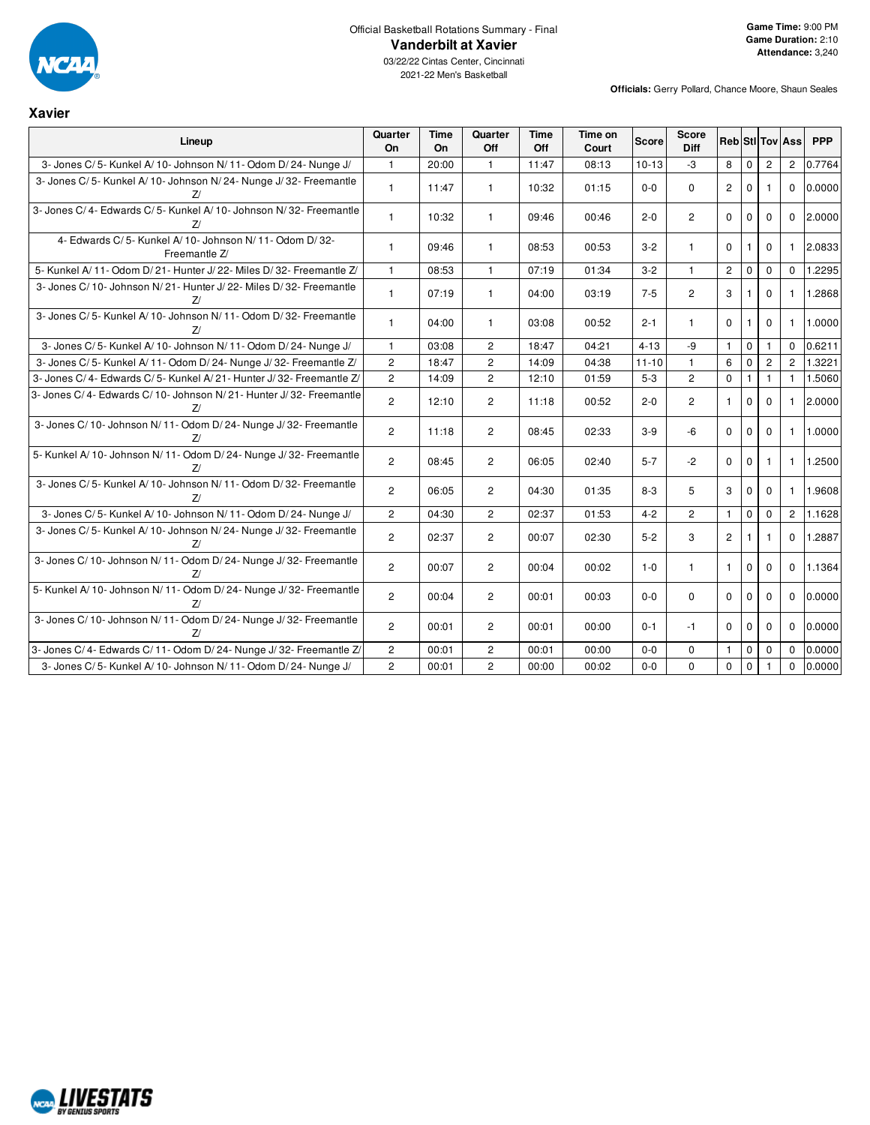

## Official Basketball Rotations Summary - Final **Vanderbilt at Xavier**

| <b>Xavier</b>                                                              |                |                   |                |                    |                  |              |                |                |              |                |                        |            |
|----------------------------------------------------------------------------|----------------|-------------------|----------------|--------------------|------------------|--------------|----------------|----------------|--------------|----------------|------------------------|------------|
| Lineup                                                                     | Quarter<br>On  | <b>Time</b><br>On | Quarter<br>Off | <b>Time</b><br>Off | Time on<br>Court | <b>Score</b> | Score<br>Diff  |                |              |                | <b>Reb StilTov Ass</b> | <b>PPP</b> |
| 3- Jones C/5- Kunkel A/10- Johnson N/11- Odom D/24- Nunge J/               | $\mathbf{1}$   | 20:00             | $\mathbf{1}$   | 11:47              | 08:13            | $10 - 13$    | -3             | 8              | $\mathbf 0$  | $\overline{c}$ | $\overline{c}$         | 0.7764     |
| 3- Jones C/5- Kunkel A/10- Johnson N/24- Nunge J/32- Freemantle<br>Z/      | $\mathbf{1}$   | 11:47             | $\mathbf{1}$   | 10:32              | 01:15            | $0-0$        | $\mathbf 0$    | $\overline{2}$ | $\mathbf{0}$ | $\mathbf{1}$   | $\mathbf{0}$           | 0.0000     |
| 3- Jones C/4- Edwards C/5- Kunkel A/10- Johnson N/32- Freemantle<br>Z/     | $\mathbf{1}$   | 10:32             | $\mathbf{1}$   | 09:46              | 00:46            | $2 - 0$      | $\overline{2}$ | $\Omega$       | $\mathbf 0$  | $\mathbf 0$    | $\Omega$               | 2.0000     |
| 4- Edwards C/5- Kunkel A/10- Johnson N/11- Odom D/32-<br>Freemantle Z/     | $\mathbf{1}$   | 09:46             | $\mathbf{1}$   | 08:53              | 00:53            | $3 - 2$      | $\mathbf{1}$   | $\mathbf 0$    | 1            | $\mathbf 0$    | 1                      | 2.0833     |
| 5- Kunkel A/11- Odom D/21- Hunter J/22- Miles D/32- Freemantle Z/          | $\mathbf{1}$   | 08:53             | $\mathbf{1}$   | 07:19              | 01:34            | $3 - 2$      | $\mathbf{1}$   | $\overline{2}$ | $\mathbf 0$  | $\mathbf 0$    | $\Omega$               | 1.2295     |
| 3- Jones C/ 10- Johnson N/ 21- Hunter J/ 22- Miles D/ 32- Freemantle<br>7/ | $\mathbf{1}$   | 07:19             | $\mathbf{1}$   | 04:00              | 03:19            | $7 - 5$      | $\overline{2}$ | 3              | 1            | $\mathbf 0$    | $\mathbf{1}$           | 1.2868     |
| 3- Jones C/5- Kunkel A/10- Johnson N/11- Odom D/32- Freemantle<br>7/       | $\mathbf{1}$   | 04:00             | $\mathbf{1}$   | 03:08              | 00:52            | $2 - 1$      | $\mathbf{1}$   | $\Omega$       | 1            | $\mathbf 0$    | $\mathbf{1}$           | 1.0000     |
| 3- Jones C/5- Kunkel A/10- Johnson N/11- Odom D/24- Nunge J/               | $\mathbf{1}$   | 03:08             | $\overline{2}$ | 18:47              | 04:21            | $4 - 13$     | -9             | $\mathbf{1}$   | $\mathbf 0$  | $\mathbf{1}$   | $\Omega$               | 0.6211     |
| 3- Jones C/5- Kunkel A/11- Odom D/24- Nunge J/32- Freemantle Z/            | $\overline{2}$ | 18:47             | $\overline{2}$ | 14:09              | 04:38            | $11 - 10$    | $\mathbf{1}$   | 6              | $\Omega$     | $\overline{2}$ | $\overline{c}$         | 1.3221     |
| 3- Jones C/4- Edwards C/5- Kunkel A/21- Hunter J/32- Freemantle Z/         | $\overline{2}$ | 14:09             | $\overline{2}$ | 12:10              | 01:59            | $5-3$        | $\overline{c}$ | $\mathbf 0$    | $\mathbf{1}$ | $\mathbf{1}$   | $\mathbf{1}$           | 1.5060     |
| 3- Jones C/4- Edwards C/10- Johnson N/21- Hunter J/32- Freemantle<br>Z/    | $\overline{2}$ | 12:10             | $\overline{2}$ | 11:18              | 00:52            | $2 - 0$      | $\overline{2}$ | $\mathbf{1}$   | $\mathbf 0$  | $\Omega$       | $\mathbf{1}$           | 2.0000     |
| 3- Jones C/ 10- Johnson N/ 11- Odom D/ 24- Nunge J/ 32- Freemantle<br>7/   | $\overline{c}$ | 11:18             | $\overline{2}$ | 08:45              | 02:33            | $3-9$        | $-6$           | $\Omega$       | $\Omega$     | $\Omega$       | $\mathbf{1}$           | 1.0000     |
| 5- Kunkel A/10- Johnson N/11- Odom D/24- Nunge J/32- Freemantle<br>Z/      | $\overline{c}$ | 08:45             | 2              | 06:05              | 02:40            | $5-7$        | $-2$           | $\Omega$       | $\Omega$     | 1              | $\mathbf{1}$           | 1.2500     |
| 3- Jones C/5- Kunkel A/10- Johnson N/11- Odom D/32- Freemantle<br>7/       | $\overline{2}$ | 06:05             | $\overline{2}$ | 04:30              | 01:35            | $8 - 3$      | 5              | 3              | $\mathbf 0$  | $\mathbf 0$    | $\mathbf{1}$           | 1.9608     |
| 3- Jones C/5- Kunkel A/10- Johnson N/11- Odom D/24- Nunge J/               | $\overline{c}$ | 04:30             | $\overline{2}$ | 02:37              | 01:53            | $4 - 2$      | $\overline{c}$ | $\mathbf{1}$   | $\mathbf 0$  | $\mathbf 0$    | $\overline{2}$         | 1.1628     |
| 3- Jones C/5- Kunkel A/10- Johnson N/24- Nunge J/32- Freemantle<br>Ζl      | $\overline{2}$ | 02:37             | $\overline{2}$ | 00:07              | 02:30            | $5 - 2$      | 3              | $\mathbf{2}$   | 1            | $\mathbf{1}$   | $\Omega$               | 1.2887     |
| 3- Jones C/ 10- Johnson N/ 11- Odom D/ 24- Nunge J/ 32- Freemantle<br>7/   | $\overline{2}$ | 00:07             | $\overline{2}$ | 00:04              | 00:02            | $1-0$        | $\mathbf{1}$   | $\mathbf{1}$   | $\mathbf 0$  | $\mathbf 0$    | $\Omega$               | 1.1364     |
| 5- Kunkel A/ 10- Johnson N/ 11- Odom D/ 24- Nunge J/ 32- Freemantle<br>7/  | $\overline{2}$ | 00:04             | $\overline{2}$ | 00:01              | 00:03            | $0-0$        | $\mathbf{0}$   | $\mathbf 0$    | $\mathbf 0$  | $\mathbf 0$    | $\mathbf{0}$           | 0.0000     |
| 3- Jones C/10- Johnson N/11- Odom D/24- Nunge J/32- Freemantle<br>Z/       | $\overline{c}$ | 00:01             | $\mathbf{2}$   | 00:01              | 00:00            | $0 - 1$      | $-1$           | $\mathbf 0$    | $\mathbf 0$  | $\mathbf 0$    | $\mathbf 0$            | 0.0000     |
| 3- Jones C/4- Edwards C/11- Odom D/24- Nunge J/32- Freemantle Z/           | $\overline{2}$ | 00:01             | $\overline{2}$ | 00:01              | 00:00            | $0-0$        | $\Omega$       | $\mathbf{1}$   | $\mathbf 0$  | $\mathbf 0$    | $\Omega$               | 0.0000     |
| 3- Jones C/5- Kunkel A/10- Johnson N/11- Odom D/24- Nunge J/               | $\overline{2}$ | 00:01             | $\overline{2}$ | 00:00              | 00:02            | $0 - 0$      | $\Omega$       | $\Omega$       | $\Omega$     |                | $\Omega$               | 0.0000     |

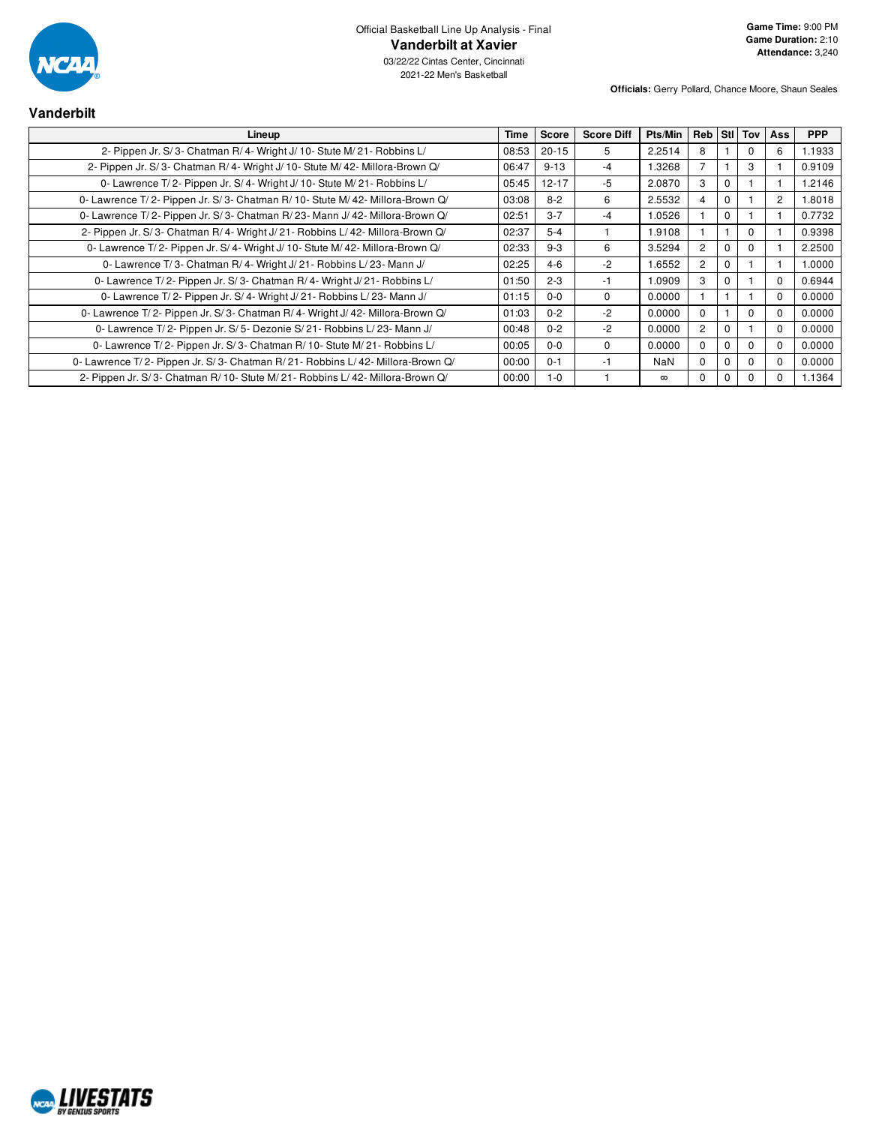

03/22/22 Cintas Center, Cincinnati 2021-22 Men's Basketball

| <b>Vanderbilt</b>                                                             |       |              |                   |          |                |             |              |          |            |
|-------------------------------------------------------------------------------|-------|--------------|-------------------|----------|----------------|-------------|--------------|----------|------------|
| Lineup                                                                        | Time  | <b>Score</b> | <b>Score Diff</b> | Pts/Min  | Reb            |             | Sti   Tov    | Ass      | <b>PPP</b> |
| 2- Pippen Jr. S/3- Chatman R/4- Wright J/10- Stute M/21- Robbins L/           | 08:53 | $20 - 15$    | 5                 | 2.2514   | 8              |             | 0            | 6        | 1.1933     |
| 2- Pippen Jr. S/3- Chatman R/4- Wright J/10- Stute M/42- Millora-Brown Q/     | 06:47 | $9 - 13$     | $-4$              | 1.3268   |                |             | 3            |          | 0.9109     |
| 0- Lawrence T/2- Pippen Jr. S/4- Wright J/10- Stute M/21- Robbins L/          | 05:45 | $12 - 17$    | $-5$              | 2.0870   | 3              | $\Omega$    |              |          | 1.2146     |
| 0- Lawrence T/2- Pippen Jr. S/3- Chatman R/10- Stute M/42- Millora-Brown Q/   | 03:08 | $8 - 2$      | 6                 | 2.5532   | 4              | $\Omega$    |              | 2        | 1.8018     |
| 0- Lawrence T/2- Pippen Jr. S/3- Chatman R/23- Mann J/42- Millora-Brown Q/    | 02:51 | $3 - 7$      | $-4$              | 1.0526   |                | $\mathbf 0$ |              |          | 0.7732     |
| 2- Pippen Jr. S/3- Chatman R/4- Wright J/21- Robbins L/42- Millora-Brown Q/   | 02:37 | $5 - 4$      |                   | 1.9108   |                |             | $\Omega$     |          | 0.9398     |
| 0- Lawrence T/2- Pippen Jr. S/4- Wright J/10- Stute M/42- Millora-Brown Q/    | 02:33 | $9 - 3$      | 6                 | 3.5294   | $\overline{2}$ | $\Omega$    | <sup>0</sup> |          | 2.2500     |
| 0- Lawrence T/3- Chatman R/4- Wright J/21- Robbins L/23- Mann J/              | 02:25 | $4 - 6$      | $-2$              | 1.6552   | $\overline{2}$ | $\Omega$    |              |          | 1.0000     |
| 0- Lawrence T/2- Pippen Jr. S/3- Chatman R/4- Wright J/21- Robbins L/         | 01:50 | $2 - 3$      | $-1$              | .0909    | 3              | $\Omega$    |              | $\Omega$ | 0.6944     |
| 0- Lawrence T/2- Pippen Jr. S/4- Wright J/21- Robbins L/23- Mann J/           | 01:15 | $0-0$        | $\Omega$          | 0.0000   |                |             |              | $\Omega$ | 0.0000     |
| 0- Lawrence T/2- Pippen Jr. S/3- Chatman R/4- Wright J/42- Millora-Brown Q/   | 01:03 | $0 - 2$      | $-2$              | 0.0000   | 0              |             | $\Omega$     | 0        | 0.0000     |
| 0- Lawrence T/2- Pippen Jr. S/5- Dezonie S/21- Robbins L/23- Mann J/          | 00:48 | $0 - 2$      | $-2$              | 0.0000   | $\overline{2}$ | $\Omega$    |              | $\Omega$ | 0.0000     |
| 0- Lawrence T/2- Pippen Jr. S/3- Chatman R/10- Stute M/21- Robbins L/         | 00:05 | $0 - 0$      | $\Omega$          | 0.0000   | $\Omega$       | $\Omega$    | $\Omega$     | $\Omega$ | 0.0000     |
| 0- Lawrence T/2- Pippen Jr. S/3- Chatman R/21- Robbins L/42- Millora-Brown Q/ | 00:00 | $0 - 1$      | -1                | NaN      | 0              | $\Omega$    | $\Omega$     | $\Omega$ | 0.0000     |
| 2- Pippen Jr. S/3- Chatman R/10- Stute M/21- Robbins L/42- Millora-Brown Q/   | 00:00 | $1 - 0$      |                   | $\infty$ | 0              | 0           | 0            |          | 1.1364     |